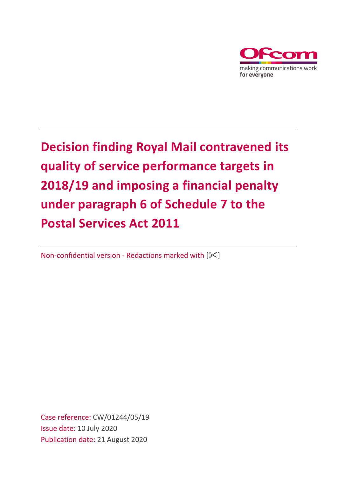

# **Decision finding Royal Mail contravened its quality of service performance targets in 2018/19 and imposing a financial penalty under paragraph 6 of Schedule 7 to the Postal Services Act 2011**

Non-confidential version - Redactions marked with  $[\times]$ 

Case reference: CW/01244/05/19 Issue date: 10 July 2020 Publication date: 21 August 2020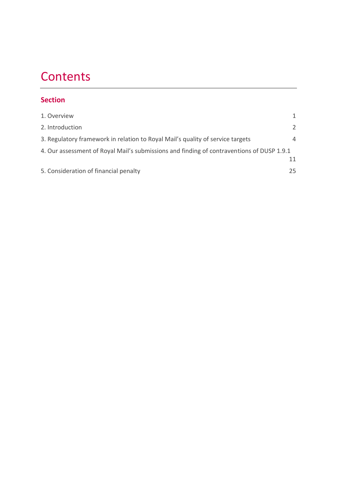# **Contents**

## **Section**

| 1. Overview                                                                               |                |
|-------------------------------------------------------------------------------------------|----------------|
| 2. Introduction                                                                           | $\mathcal{L}$  |
| 3. Regulatory framework in relation to Royal Mail's quality of service targets            | $\overline{4}$ |
| 4. Our assessment of Royal Mail's submissions and finding of contraventions of DUSP 1.9.1 |                |
|                                                                                           |                |
| 5. Consideration of financial penalty                                                     | 25             |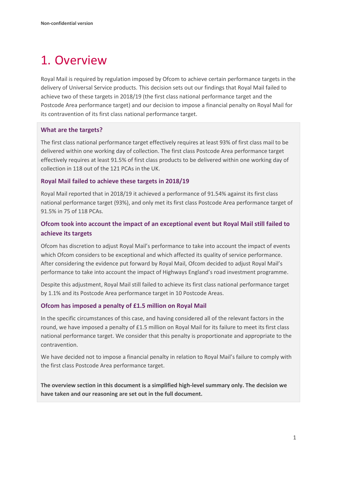# <span id="page-2-0"></span>1. Overview

Royal Mail is required by regulation imposed by Ofcom to achieve certain performance targets in the delivery of Universal Service products. This decision sets out our findings that Royal Mail failed to achieve two of these targets in 2018/19 (the first class national performance target and the Postcode Area performance target) and our decision to impose a financial penalty on Royal Mail for its contravention of its first class national performance target.

#### **What are the targets?**

The first class national performance target effectively requires at least 93% of first class mail to be delivered within one working day of collection. The first class Postcode Area performance target effectively requires at least 91.5% of first class products to be delivered within one working day of collection in 118 out of the 121 PCAs in the UK.

#### **Royal Mail failed to achieve these targets in 2018/19**

Royal Mail reported that in 2018/19 it achieved a performance of 91.54% against its first class national performance target (93%), and only met its first class Postcode Area performance target of 91.5% in 75 of 118 PCAs.

## **Ofcom took into account the impact of an exceptional event but Royal Mail still failed to achieve its targets**

Ofcom has discretion to adjust Royal Mail's performance to take into account the impact of events which Ofcom considers to be exceptional and which affected its quality of service performance. After considering the evidence put forward by Royal Mail, Ofcom decided to adjust Royal Mail's performance to take into account the impact of Highways England's road investment programme.

Despite this adjustment, Royal Mail still failed to achieve its first class national performance target by 1.1% and its Postcode Area performance target in 10 Postcode Areas.

#### **Ofcom has imposed a penalty of £1.5 million on Royal Mail**

In the specific circumstances of this case, and having considered all of the relevant factors in the round, we have imposed a penalty of £1.5 million on Royal Mail for its failure to meet its first class national performance target. We consider that this penalty is proportionate and appropriate to the contravention.

We have decided not to impose a financial penalty in relation to Royal Mail's failure to comply with the first class Postcode Area performance target.

**The overview section in this document is a simplified high-level summary only. The decision we have taken and our reasoning are set out in the full document.**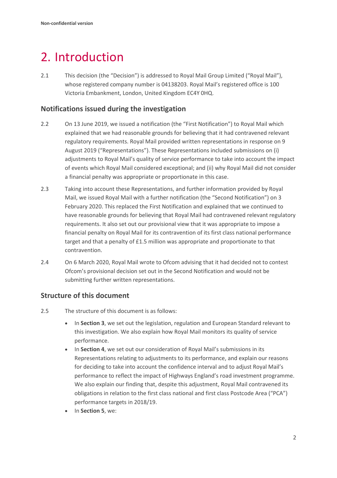# <span id="page-3-0"></span>2. Introduction

2.1 This decision (the "Decision") is addressed to Royal Mail Group Limited ("Royal Mail"), whose registered company number is 04138203. Royal Mail's registered office is 100 Victoria Embankment, London, United Kingdom EC4Y 0HQ.

### **Notifications issued during the investigation**

- 2.2 On 13 June 2019, we issued a notification (the "First Notification") to Royal Mail which explained that we had reasonable grounds for believing that it had contravened relevant regulatory requirements. Royal Mail provided written representations in response on 9 August 2019 ("Representations"). These Representations included submissions on (i) adjustments to Royal Mail's quality of service performance to take into account the impact of events which Royal Mail considered exceptional; and (ii) why Royal Mail did not consider a financial penalty was appropriate or proportionate in this case.
- 2.3 Taking into account these Representations, and further information provided by Royal Mail, we issued Royal Mail with a further notification (the "Second Notification") on 3 February 2020. This replaced the First Notification and explained that we continued to have reasonable grounds for believing that Royal Mail had contravened relevant regulatory requirements. It also set out our provisional view that it was appropriate to impose a financial penalty on Royal Mail for its contravention of its first class national performance target and that a penalty of £1.5 million was appropriate and proportionate to that contravention.
- 2.4 On 6 March 2020, Royal Mail wrote to Ofcom advising that it had decided not to contest Ofcom's provisional decision set out in the Second Notification and would not be submitting further written representations.

## **Structure of this document**

- 2.5 The structure of this document is as follows:
	- In **Section 3**, we set out the legislation, regulation and European Standard relevant to this investigation. We also explain how Royal Mail monitors its quality of service performance.
	- In **Section 4**, we set out our consideration of Royal Mail's submissions in its Representations relating to adjustments to its performance, and explain our reasons for deciding to take into account the confidence interval and to adjust Royal Mail's performance to reflect the impact of Highways England's road investment programme. We also explain our finding that, despite this adjustment, Royal Mail contravened its obligations in relation to the first class national and first class Postcode Area ("PCA") performance targets in 2018/19.
	- In **Section 5**, we: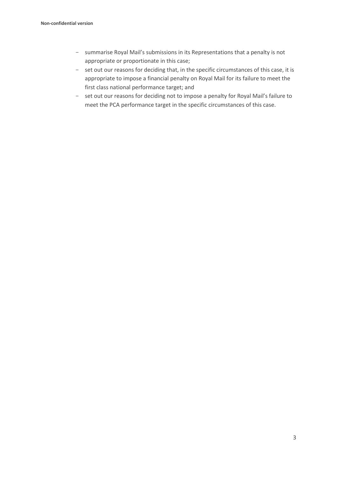- summarise Royal Mail's submissions in its Representations that a penalty is not appropriate or proportionate in this case;
- set out our reasons for deciding that, in the specific circumstances of this case, it is appropriate to impose a financial penalty on Royal Mail for its failure to meet the first class national performance target; and
- set out our reasons for deciding not to impose a penalty for Royal Mail's failure to meet the PCA performance target in the specific circumstances of this case.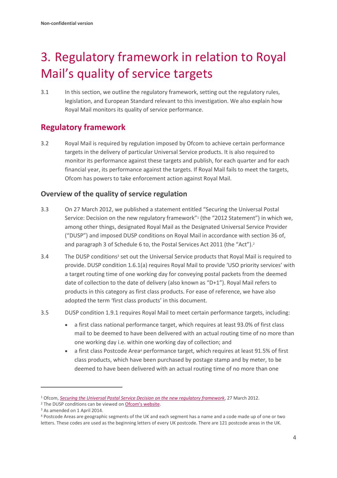# <span id="page-5-0"></span>3. Regulatory framework in relation to Royal Mail's quality of service targets

3.1 In this section, we outline the regulatory framework, setting out the regulatory rules, legislation, and European Standard relevant to this investigation. We also explain how Royal Mail monitors its quality of service performance.

## **Regulatory framework**

3.2 Royal Mail is required by regulation imposed by Ofcom to achieve certain performance targets in the delivery of particular Universal Service products. It is also required to monitor its performance against these targets and publish, for each quarter and for each financial year, its performance against the targets. If Royal Mail fails to meet the targets, Ofcom has powers to take enforcement action against Royal Mail.

## **Overview of the quality of service regulation**

- 3.3 On 27 March 2012, we published a statement entitled "Securing the Universal Postal Service: Decision on the new regulatory framework"<sup>1</sup> (the "2012 Statement") in which we, among other things, designated Royal Mail as the Designated Universal Service Provider ("DUSP") and imposed DUSP conditions on Royal Mail in accordance with section 36 of, and paragraph 3 of Schedule 6 to, the Postal Services Act 2011 (the "Act").<sup>2</sup>
- 3.4 The DUSP conditions<sup>3</sup> set out the Universal Service products that Royal Mail is required to provide. DUSP condition 1.6.1(a) requires Royal Mail to provide 'USO priority services' with a target routing time of one working day for conveying postal packets from the deemed date of collection to the date of delivery (also known as "D+1"). Royal Mail refers to products in this category as first class products. For ease of reference, we have also adopted the term 'first class products' in this document.
- 3.5 DUSP condition 1.9.1 requires Royal Mail to meet certain performance targets, including:
	- a first class national performance target, which requires at least 93.0% of first class mail to be deemed to have been delivered with an actual routing time of no more than one working day i.e. within one working day of collection; and
	- a first class Postcode Area<sup>4</sup> performance target, which requires at least 91.5% of first class products, which have been purchased by postage stamp and by meter, to be deemed to have been delivered with an actual routing time of no more than one

<sup>1</sup> Ofcom, *[Securing the Universal Postal Service Decision on the new regulatory framework](https://www.ofcom.org.uk/__data/assets/pdf_file/0029/74279/Securing-the-Universal-Postal-Service-statement.pdf)*, 27 March 2012.

<sup>&</sup>lt;sup>2</sup> The DUSP conditions can be viewed on **[Ofcom's website](https://www.ofcom.org.uk/postal-services/information-for-the-postal-industry/conditions)**.

<sup>3</sup> As amended on 1 April 2014.

<sup>4</sup> Postcode Areas are geographic segments of the UK and each segment has a name and a code made up of one or two letters. These codes are used as the beginning letters of every UK postcode. There are 121 postcode areas in the UK.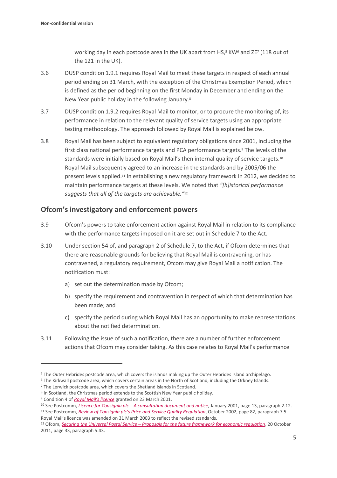working day in each postcode area in the UK apart from HS,<sup>5</sup> KW<sup>6</sup> and ZE<sup>7</sup> (118 out of the 121 in the UK).

- 3.6 DUSP condition 1.9.1 requires Royal Mail to meet these targets in respect of each annual period ending on 31 March, with the exception of the Christmas Exemption Period, which is defined as the period beginning on the first Monday in December and ending on the New Year public holiday in the following January.<sup>8</sup>
- 3.7 DUSP condition 1.9.2 requires Royal Mail to monitor, or to procure the monitoring of, its performance in relation to the relevant quality of service targets using an appropriate testing methodology. The approach followed by Royal Mail is explained below.
- 3.8 Royal Mail has been subject to equivalent regulatory obligations since 2001, including the first class national performance targets and PCA performance targets. <sup>9</sup> The levels of the standards were initially based on Royal Mail's then internal quality of service targets.<sup>10</sup> Royal Mail subsequently agreed to an increase in the standards and by 2005/06 the present levels applied.<sup>11</sup> In establishing a new regulatory framework in 2012, we decided to maintain performance targets at these levels. We noted that *"[h]istorical performance suggests that all of the targets are achievable."*<sup>12</sup>

### **Ofcom's investigatory and enforcement powers**

- 3.9 Ofcom's powers to take enforcement action against Royal Mail in relation to its compliance with the performance targets imposed on it are set out in Schedule 7 to the Act.
- 3.10 Under section 54 of, and paragraph 2 of Schedule 7, to the Act, if Ofcom determines that there are reasonable grounds for believing that Royal Mail is contravening, or has contravened, a regulatory requirement, Ofcom may give Royal Mail a notification. The notification must:
	- a) set out the determination made by Ofcom;
	- b) specify the requirement and contravention in respect of which that determination has been made; and
	- c) specify the period during which Royal Mail has an opportunity to make representations about the notified determination.
- 3.11 Following the issue of such a notification, there are a number of further enforcement actions that Ofcom may consider taking. As this case relates to Royal Mail's performance

<sup>5</sup> The Outer Hebrides postcode area, which covers the islands making up the Outer Hebrides Island archipelago.

<sup>6</sup> The Kirkwall postcode area, which covers certain areas in the North of Scotland, including the Orkney Islands.

<sup>&</sup>lt;sup>7</sup> The Lerwick postcode area, which covers the Shetland Islands in Scotland.

<sup>&</sup>lt;sup>8</sup> In Scotland, the Christmas period extends to the Scottish New Year public holiday.

<sup>9</sup> Condition 4 of *[Royal Mail's licence](https://webarchive.nationalarchives.gov.uk/20081213170617/http:/www.psc.gov.uk/postcomm/live/policy-and-consultations/consultations/licensing--royal-mail/LicencePO08.pdf)* granted on 23 March 2001.

<sup>10</sup> See Postcomm, *Licence for Consignia plc – [A consultation document and notice](https://webarchive.nationalarchives.gov.uk/20100510042416/http:/www.psc.gov.uk/postcomm/live/policy-and-consultations/documents-by-date/2001/Licence_for_Consignia_-_con_doc_and_notice.pdf)*, January 2001, page 13, paragraph 2.12.

<sup>11</sup> See Postcomm, *[Review of Consignia plc's Price and Service Quality Regulation](https://webarchive.nationalarchives.gov.uk/20100510042405/http:/www.psc.gov.uk/policy-and-consultations/documents-by-date/2002.html)*, October 2002, page 82, paragraph 7.5. Royal Mail's licence was amended on 31 March 2003 to reflect the revised standards.

<sup>12</sup> Ofcom, *Securing the Universal Postal Service – [Proposals for the future framework for economic regulation](https://www.ofcom.org.uk/__data/assets/pdf_file/0012/63003/Securing-the-Universal-Postal-Service-Proposals-for-the-future-framework-for-economic-regulation.pdf)*, 20 October 2011, page 33, paragraph 5.43.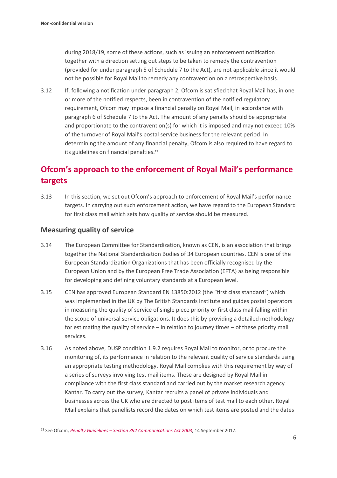during 2018/19, some of these actions, such as issuing an enforcement notification together with a direction setting out steps to be taken to remedy the contravention (provided for under paragraph 5 of Schedule 7 to the Act), are not applicable since it would not be possible for Royal Mail to remedy any contravention on a retrospective basis.

3.12 If, following a notification under paragraph 2, Ofcom is satisfied that Royal Mail has, in one or more of the notified respects, been in contravention of the notified regulatory requirement, Ofcom may impose a financial penalty on Royal Mail, in accordance with paragraph 6 of Schedule 7 to the Act. The amount of any penalty should be appropriate and proportionate to the contravention(s) for which it is imposed and may not exceed 10% of the turnover of Royal Mail's postal service business for the relevant period. In determining the amount of any financial penalty, Ofcom is also required to have regard to its guidelines on financial penalties.<sup>13</sup>

## **Ofcom's approach to the enforcement of Royal Mail's performance targets**

3.13 In this section, we set out Ofcom's approach to enforcement of Royal Mail's performance targets. In carrying out such enforcement action, we have regard to the European Standard for first class mail which sets how quality of service should be measured.

## **Measuring quality of service**

- 3.14 The European Committee for Standardization, known as CEN, is an association that brings together the National Standardization Bodies of 34 European countries. CEN is one of the European Standardization Organizations that has been officially recognised by the European Union and by the European Free Trade Association (EFTA) as being responsible for developing and defining voluntary standards at a European level.
- 3.15 CEN has approved European Standard EN 13850:2012 (the "first class standard") which was implemented in the UK by The British Standards Institute and guides postal operators in measuring the quality of service of single piece priority or first class mail falling within the scope of universal service obligations. It does this by providing a detailed methodology for estimating the quality of service – in relation to journey times – of these priority mail services.
- 3.16 As noted above, DUSP condition 1.9.2 requires Royal Mail to monitor, or to procure the monitoring of, its performance in relation to the relevant quality of service standards using an appropriate testing methodology. Royal Mail complies with this requirement by way of a series of surveys involving test mail items. These are designed by Royal Mail in compliance with the first class standard and carried out by the market research agency Kantar. To carry out the survey, Kantar recruits a panel of private individuals and businesses across the UK who are directed to post items of test mail to each other. Royal Mail explains that panellists record the dates on which test items are posted and the dates

<sup>13</sup> See Ofcom, *Penalty Guidelines – [Section 392 Communications Act 2003](https://www.ofcom.org.uk/__data/assets/pdf_file/0022/106267/Penalty-Guidelines-September-2017.pdf)*, 14 September 2017.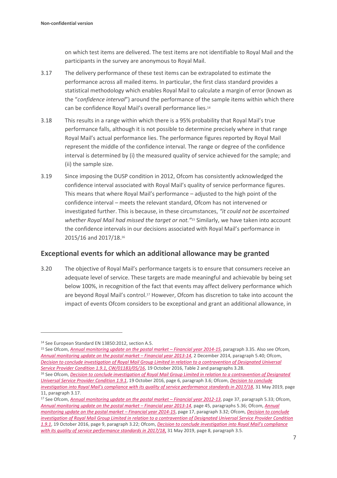on which test items are delivered. The test items are not identifiable to Royal Mail and the participants in the survey are anonymous to Royal Mail.

- 3.17 The delivery performance of these test items can be extrapolated to estimate the performance across all mailed items. In particular, the first class standard provides a statistical methodology which enables Royal Mail to calculate a margin of error (known as the "*confidence interval*") around the performance of the sample items within which there can be confidence Royal Mail's overall performance lies.<sup>14</sup>
- 3.18 This results in a range within which there is a 95% probability that Royal Mail's true performance falls, although it is not possible to determine precisely where in that range Royal Mail's actual performance lies. The performance figures reported by Royal Mail represent the middle of the confidence interval. The range or degree of the confidence interval is determined by (i) the measured quality of service achieved for the sample; and (ii) the sample size.
- 3.19 Since imposing the DUSP condition in 2012, Ofcom has consistently acknowledged the confidence interval associated with Royal Mail's quality of service performance figures. This means that where Royal Mail's performance – adjusted to the high point of the confidence interval – meets the relevant standard, Ofcom has not intervened or investigated further. This is because, in these circumstances, *"it could not be ascertained whether Royal Mail had missed the target or not."*<sup>15</sup> Similarly, we have taken into account the confidence intervals in our decisions associated with Royal Mail's performance in 2015/16 and 2017/18. 16

## **Exceptional events for which an additional allowance may be granted**

3.20 The objective of Royal Mail's performance targets is to ensure that consumers receive an adequate level of service. These targets are made meaningful and achievable by being set below 100%, in recognition of the fact that events may affect delivery performance which are beyond Royal Mail's control.<sup>17</sup> However, Ofcom has discretion to take into account the impact of events Ofcom considers to be exceptional and grant an additional allowance, in

<sup>14</sup> See European Standard EN 13850:2012, section A.5.

<sup>&</sup>lt;sup>15</sup> See Ofcom, *[Annual monitoring update on the postal market](https://www.ofcom.org.uk/__data/assets/pdf_file/0025/56923/annual_monitoring_update_2014-15.pdf) - Financial year 2014-15*, paragraph 3.35. Also see Ofcom, *Annual monitoring [update on the postal market](https://www.ofcom.org.uk/__data/assets/pdf_file/0024/71178/annual-monitoring-update-postal-2013-14.pdf) – Financial year 2013-14*, 2 December 2014, paragraph 5.40; Ofcom, *[Decision to conclude investigation of Royal Mail Group Limited in relation to a contravention of Designated Universal](https://www.ofcom.org.uk/__data/assets/pdf_file/0028/92746/161020-non-confidential-decision-v3.pdf)  [Service Provider Condition 1.9.1, CW/01183/05/16](https://www.ofcom.org.uk/__data/assets/pdf_file/0028/92746/161020-non-confidential-decision-v3.pdf)*, 19 October 2016, Table 2 and paragraphs 3.28.

<sup>16</sup> See Ofcom, *[Decision to conclude investigation of Royal Mail Group Limited in relation to a contravention of Designated](https://www.ofcom.org.uk/__data/assets/pdf_file/0028/92746/161020-non-confidential-decision-v3.pdf)  [Universal Service Provider Condition 1.9.1](https://www.ofcom.org.uk/__data/assets/pdf_file/0028/92746/161020-non-confidential-decision-v3.pdf)*, 19 October 2016, page 6, paragraph 3.6; Ofcom, *[Decision to conclude](https://www.ofcom.org.uk/__data/assets/pdf_file/0015/152241/decision-non-confidential-royal-mail-quality-of-service-17-18.pdf)  investigation into Royal Mail's compl[iance with its quality of service performance standards in 2017/18](https://www.ofcom.org.uk/__data/assets/pdf_file/0015/152241/decision-non-confidential-royal-mail-quality-of-service-17-18.pdf)*, 31 May 2019, page 11, paragraph 3.17.

<sup>17</sup> See Ofcom, *[Annual monitoring update on the postal market](https://www.ofcom.org.uk/__data/assets/pdf_file/0032/56984/annual_monitoring_update_2012-13.pdf) - Financial year 2012-13*, page 37, paragraph 5.33; Ofcom, *[Annual monitoring update on the postal market](https://www.ofcom.org.uk/__data/assets/pdf_file/0024/71178/annual-monitoring-update-postal-2013-14.pdf) – Financial year 2013-14*, page 45, paragraphs 5.36; Ofcom, *[Annual](https://www.ofcom.org.uk/__data/assets/pdf_file/0025/56923/annual_monitoring_update_2014-15.pdf)  [monitoring update on the postal market](https://www.ofcom.org.uk/__data/assets/pdf_file/0025/56923/annual_monitoring_update_2014-15.pdf) – Financial year 2014-15*, page 17, paragraph 3.32; Ofcom, *[Decision to conclude](https://www.ofcom.org.uk/__data/assets/pdf_file/0028/92746/161020-non-confidential-decision-v3.pdf)  [investigation of Royal Mail Group Limited in relation to a contravention of Designated Universal Service Provider Condition](https://www.ofcom.org.uk/__data/assets/pdf_file/0028/92746/161020-non-confidential-decision-v3.pdf)  [1.9.1](https://www.ofcom.org.uk/__data/assets/pdf_file/0028/92746/161020-non-confidential-decision-v3.pdf)*, 19 October 2016, page 9, paragraph 3.22; Ofcom, *[Decision to conclude investigation into](https://www.ofcom.org.uk/__data/assets/pdf_file/0015/152241/decision-non-confidential-royal-mail-quality-of-service-17-18.pdf) Royal Mail's compliance [with its quality of service performance standards in 2017/18](https://www.ofcom.org.uk/__data/assets/pdf_file/0015/152241/decision-non-confidential-royal-mail-quality-of-service-17-18.pdf)*, 31 May 2019, page 8, paragraph 3.5.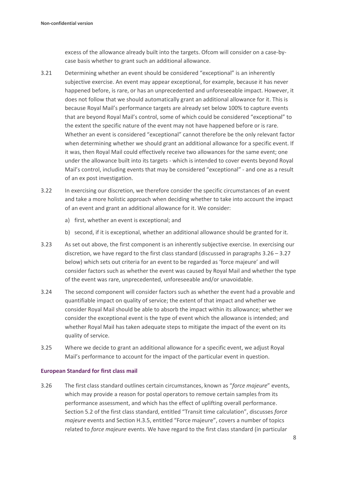excess of the allowance already built into the targets. Ofcom will consider on a case-bycase basis whether to grant such an additional allowance.

- 3.21 Determining whether an event should be considered "exceptional" is an inherently subjective exercise. An event may appear exceptional, for example, because it has never happened before, is rare, or has an unprecedented and unforeseeable impact. However, it does not follow that we should automatically grant an additional allowance for it. This is because Royal Mail's performance targets are already set below 100% to capture events that are beyond Royal Mail's control, some of which could be considered "exceptional" to the extent the specific nature of the event may not have happened before or is rare. Whether an event is considered "exceptional" cannot therefore be the only relevant factor when determining whether we should grant an additional allowance for a specific event. If it was, then Royal Mail could effectively receive two allowances for the same event; one under the allowance built into its targets - which is intended to cover events beyond Royal Mail's control, including events that may be considered "exceptional" - and one as a result of an ex post investigation.
- 3.22 In exercising our discretion, we therefore consider the specific circumstances of an event and take a more holistic approach when deciding whether to take into account the impact of an event and grant an additional allowance for it. We consider:
	- a) first, whether an event is exceptional; and
	- b) second, if it is exceptional, whether an additional allowance should be granted for it.
- 3.23 As set out above, the first component is an inherently subjective exercise. In exercising our discretion, we have regard to the first class standard (discussed in paragraphs  $3.26 - 3.27$ ) below) which sets out criteria for an event to be regarded as 'force majeure' and will consider factors such as whether the event was caused by Royal Mail and whether the type of the event was rare, unprecedented, unforeseeable and/or unavoidable.
- 3.24 The second component will consider factors such as whether the event had a provable and quantifiable impact on quality of service; the extent of that impact and whether we consider Royal Mail should be able to absorb the impact within its allowance; whether we consider the exceptional event is the type of event which the allowance is intended; and whether Royal Mail has taken adequate steps to mitigate the impact of the event on its quality of service.
- 3.25 Where we decide to grant an additional allowance for a specific event, we adjust Royal Mail's performance to account for the impact of the particular event in question.

#### **European Standard for first class mail**

3.26 The first class standard outlines certain circumstances, known as "*force majeure*" events, which may provide a reason for postal operators to remove certain samples from its performance assessment, and which has the effect of uplifting overall performance. Section 5.2 of the first class standard, entitled "Transit time calculation", discusses *force majeure* events and Section H.3.5, entitled "Force majeure", covers a number of topics related to *force majeure* events. We have regard to the first class standard (in particular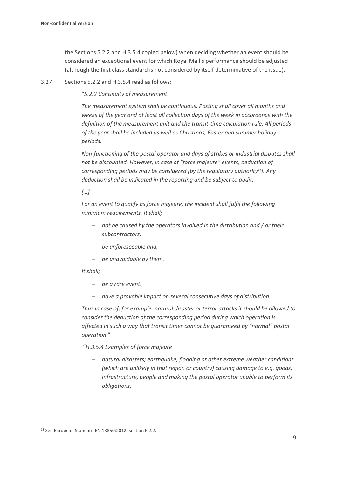the Sections 5.2.2 and H.3.5.4 copied below) when deciding whether an event should be considered an exceptional event for which Royal Mail's performance should be adjusted (although the first class standard is not considered by itself determinative of the issue).

3.27 Sections 5.2.2 and H.3.5.4 read as follows:

"*5.2.2 Continuity of measurement*

*The measurement system shall be continuous. Posting shall cover all months and weeks of the year and at least all collection days of the week in accordance with the definition of the measurement unit and the transit-time calculation rule. All periods of the year shall be included as well as Christmas, Easter and summer holiday periods.*

*Non-functioning of the postal operator and days of strikes or industrial disputes shall not be discounted. However, in case of "force majeure" events, deduction of corresponding periods may be considered [by the regulatory authority18]. Any deduction shall be indicated in the reporting and be subject to audit.*

#### *[…]*

*For an event to qualify as force majeure, the incident shall fulfil the following minimum requirements. It shall;*

- − *not be caused by the operators involved in the distribution and / or their subcontractors,*
- − *be unforeseeable and,*
- − *be unavoidable by them.*

#### *It shall;*

- − *be a rare event,*
- − *have a provable impact on several consecutive days of distribution.*

*Thus in case of, for example, natural disaster or terror attacks it should be allowed to consider the deduction of the corresponding period during which operation is affected in such a way that transit times cannot be guaranteed by "normal" postal operation*."

#### "*H.3.5.4 Examples of force majeure*

− *natural disasters; earthquake, flooding or other extreme weather conditions (which are unlikely in that region or country) causing damage to e.g. goods, infrastructure, people and making the postal operator unable to perform its obligations,*

<sup>18</sup> See European Standard EN 13850:2012, section F.2.2.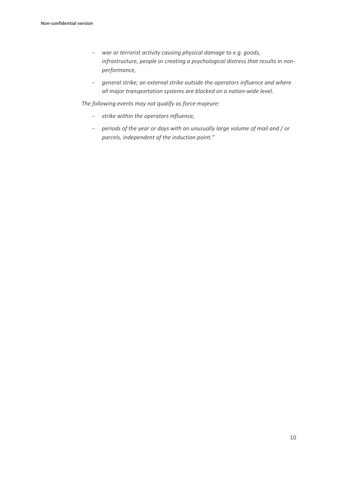- − *war or terrorist activity causing physical damage to e.g. goods, infrastructure, people or creating a psychological distress that results in nonperformance,*
- − *general strike; an external strike outside the operators influence and where all major transportation systems are blocked on a nation-wide level.*

*The following events may not qualify as force majeure:*

- − *strike within the operators influence,*
- − *periods of the year or days with an unusually large volume of mail and / or parcels, independent of the induction point."*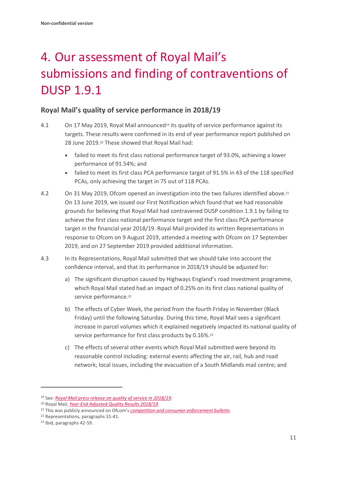# <span id="page-12-0"></span>4. Our assessment of Royal Mail's submissions and finding of contraventions of DUSP 1.9.1

## **Royal Mail's quality of service performance in 2018/19**

- 4.1 On 17 May 2019, Royal Mail announced<sup>19</sup> its quality of service performance against its targets. These results were confirmed in its end of year performance report published on 28 June 2019.<sup>20</sup> These showed that Royal Mail had:
	- failed to meet its first class national performance target of 93.0%, achieving a lower performance of 91.54%; and
	- failed to meet its first class PCA performance target of 91.5% in 43 of the 118 specified PCAs, only achieving the target in 75 out of 118 PCAs.
- 4.2 On 31 May 2019, Ofcom opened an investigation into the two failures identified above. 21 On 13 June 2019, we issued our First Notification which found that we had reasonable grounds for believing that Royal Mail had contravened DUSP condition 1.9.1 by failing to achieve the first class national performance target and the first class PCA performance target in the financial year 2018/19. Royal Mail provided its written Representations in response to Ofcom on 9 August 2019, attended a meeting with Ofcom on 17 September 2019, and on 27 September 2019 provided additional information.
- 4.3 In its Representations, Royal Mail submitted that we should take into account the confidence interval, and that its performance in 2018/19 should be adjusted for:
	- a) The significant disruption caused by Highways England's road investment programme, which Royal Mail stated had an impact of 0.25% on its first class national quality of service performance.<sup>22</sup>
	- b) The effects of Cyber Week, the period from the fourth Friday in November (Black Friday) until the following Saturday. During this time, Royal Mail sees a significant increase in parcel volumes which it explained negatively impacted its national quality of service performance for first class products by 0.16%.<sup>23</sup>
	- c) The effects of several other events which Royal Mail submitted were beyond its reasonable control including: external events affecting the air, rail, hub and road network; local issues, including the evacuation of a South Midlands mail centre; and

<sup>19</sup> See: *[Royal Mail press release on quality of service in 2018/19.](https://www.royalmailgroup.com/en/press-centre/press-releases/royal-mail/quality-of-service-q4-2018-19/)*

<sup>20</sup> Royal Mail, *[Year-End Adjusted Quality Results 2018/19.](https://www.royalmailgroup.com/media/10812/royal-mail-year-end-adjusted-quality-results-2018-19.pdf)*

<sup>21</sup> This was publicly announced on Ofcom's *[competition and consumer enforcement bulletin.](https://www.ofcom.org.uk/about-ofcom/latest/bulletins/competition-bulletins/open-cases/cw_01244)*

<sup>22</sup> Representations, paragraphs 31-41.

<sup>23</sup> Ibid, paragraphs 42-59.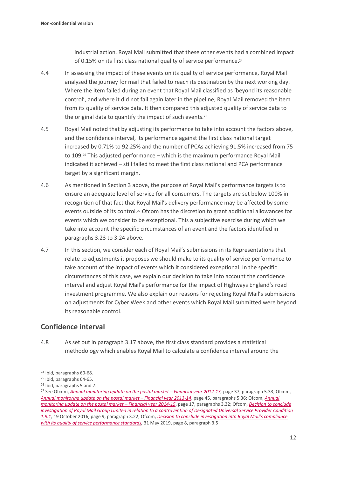industrial action. Royal Mail submitted that these other events had a combined impact of 0.15% on its first class national quality of service performance. 24

- 4.4 In assessing the impact of these events on its quality of service performance, Royal Mail analysed the journey for mail that failed to reach its destination by the next working day. Where the item failed during an event that Royal Mail classified as 'beyond its reasonable control', and where it did not fail again later in the pipeline, Royal Mail removed the item from its quality of service data. It then compared this adjusted quality of service data to the original data to quantify the impact of such events.<sup>25</sup>
- 4.5 Royal Mail noted that by adjusting its performance to take into account the factors above, and the confidence interval, its performance against the first class national target increased by 0.71% to 92.25% and the number of PCAs achieving 91.5% increased from 75 to 109.<sup>26</sup> This adjusted performance – which is the maximum performance Royal Mail indicated it achieved – still failed to meet the first class national and PCA performance target by a significant margin.
- 4.6 As mentioned in Section 3 above, the purpose of Royal Mail's performance targets is to ensure an adequate level of service for all consumers. The targets are set below 100% in recognition of that fact that Royal Mail's delivery performance may be affected by some events outside of its control.<sup>27</sup> Ofcom has the discretion to grant additional allowances for events which we consider to be exceptional. This a subjective exercise during which we take into account the specific circumstances of an event and the factors identified in paragraphs 3.23 to 3.24 above.
- 4.7 In this section, we consider each of Royal Mail's submissions in its Representations that relate to adjustments it proposes we should make to its quality of service performance to take account of the impact of events which it considered exceptional. In the specific circumstances of this case, we explain our decision to take into account the confidence interval and adjust Royal Mail's performance for the impact of Highways England's road investment programme. We also explain our reasons for rejecting Royal Mail's submissions on adjustments for Cyber Week and other events which Royal Mail submitted were beyond its reasonable control.

## **Confidence interval**

4.8 As set out in paragraph 3.17 above, the first class standard provides a statistical methodology which enables Royal Mail to calculate a confidence interval around the

<sup>24</sup> Ibid, paragraphs 60-68.

<sup>25</sup> Ibid, paragraphs 64-65.

<sup>26</sup> Ibid, paragraphs 5 and 7.

<sup>&</sup>lt;sup>27</sup> See Ofcom, *[Annual monitoring update on the postal market](https://www.ofcom.org.uk/__data/assets/pdf_file/0032/56984/annual_monitoring_update_2012-13.pdf) – Financial year 2012-13, page 37, paragraph 5.33; Ofcom, [Annual monitoring update on the postal market](https://www.ofcom.org.uk/__data/assets/pdf_file/0024/71178/annual-monitoring-update-postal-2013-14.pdf) – Financial year 2013-14*, page 45, paragraphs 5.36; Ofcom, *[Annual](https://www.ofcom.org.uk/__data/assets/pdf_file/0025/56923/annual_monitoring_update_2014-15.pdf)  [monitoring update on the postal market](https://www.ofcom.org.uk/__data/assets/pdf_file/0025/56923/annual_monitoring_update_2014-15.pdf) – Financial year 2014-15*, page 17, paragraphs 3.32; Ofcom, *[Decision to conclude](https://www.ofcom.org.uk/__data/assets/pdf_file/0028/92746/161020-non-confidential-decision-v3.pdf)  [investigation of Royal Mail Group Limited in relation to a contravention of Designated Universal Service Provider Condition](https://www.ofcom.org.uk/__data/assets/pdf_file/0028/92746/161020-non-confidential-decision-v3.pdf)  [1.9.1,](https://www.ofcom.org.uk/__data/assets/pdf_file/0028/92746/161020-non-confidential-decision-v3.pdf)* 19 October 2016, page 9, paragraph 3.22; Ofcom, *[Decision to conclude investigation into Royal Mail's compliance](https://www.ofcom.org.uk/__data/assets/pdf_file/0015/152241/decision-non-confidential-royal-mail-quality-of-service-17-18.pdf)  [with its quality of service performance standards,](https://www.ofcom.org.uk/__data/assets/pdf_file/0015/152241/decision-non-confidential-royal-mail-quality-of-service-17-18.pdf)* 31 May 2019, page 8, paragraph 3.5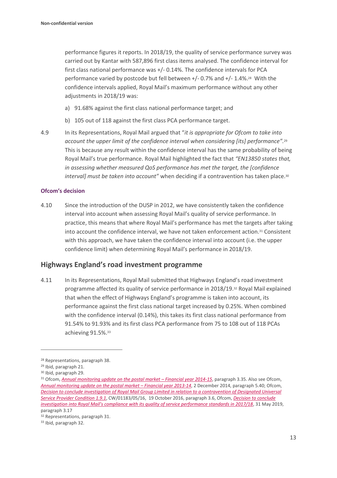performance figures it reports. In 2018/19, the quality of service performance survey was carried out by Kantar with 587,896 first class items analysed. The confidence interval for first class national performance was +/- 0.14%. The confidence intervals for PCA performance varied by postcode but fell between +/- 0.7% and +/- 1.4%. <sup>28</sup> With the confidence intervals applied, Royal Mail's maximum performance without any other adjustments in 2018/19 was:

- a) 91.68% against the first class national performance target; and
- b) 105 out of 118 against the first class PCA performance target.
- 4.9 In its Representations, Royal Mail argued that "*it is appropriate for Ofcom to take into account the upper limit of the confidence interval when considering [its] performance".* 29 This is because any result within the confidence interval has the same probability of being Royal Mail's true performance. Royal Mail highlighted the fact that *"EN13850 states that, in assessing whether measured QoS performance has met the target, the [confidence interval] must be taken into account"* when deciding if a contravention has taken place.<sup>30</sup>

#### **Ofcom's decision**

4.10 Since the introduction of the DUSP in 2012, we have consistently taken the confidence interval into account when assessing Royal Mail's quality of service performance. In practice, this means that where Royal Mail's performance has met the targets after taking into account the confidence interval, we have not taken enforcement action.<sup>31</sup> Consistent with this approach, we have taken the confidence interval into account (i.e. the upper confidence limit) when determining Royal Mail's performance in 2018/19.

#### **Highways England's road investment programme**

4.11 In its Representations, Royal Mail submitted that Highways England's road investment programme affected its quality of service performance in 2018/19.<sup>32</sup> Royal Mail explained that when the effect of Highways England's programme is taken into account, its performance against the first class national target increased by 0.25%. When combined with the confidence interval (0.14%), this takes its first class national performance from 91.54% to 91.93% and its first class PCA performance from 75 to 108 out of 118 PCAs achieving 91.5%. 33

<sup>28</sup> Representations, paragraph 38.

<sup>29</sup> Ibid, paragraph 21.

<sup>30</sup> Ibid, paragraph 29.

<sup>31</sup> Ofcom, *[Annual monitoring update on the postal market](https://www.ofcom.org.uk/__data/assets/pdf_file/0025/56923/annual_monitoring_update_2014-15.pdf) - Financial year 2014-15*, paragraph 3.35. Also see Ofcom, *[Annual monitoring update on the postal market](https://www.ofcom.org.uk/__data/assets/pdf_file/0024/71178/annual-monitoring-update-postal-2013-14.pdf) – Financial year 2013-14*, 2 December 2014, paragraph 5.40; Ofcom, *[Decision to conclude investigation of Royal Mail Group Limited in relation to a contravention of Designated Universal](https://www.ofcom.org.uk/__data/assets/pdf_file/0028/92746/161020-non-confidential-decision-v3.pdf)  [Service Provider Condition 1.9.1](https://www.ofcom.org.uk/__data/assets/pdf_file/0028/92746/161020-non-confidential-decision-v3.pdf)*, CW/01183/05/16, 19 October 2016, paragraph 3.6, Ofcom, *[Decision to conclude](https://www.ofcom.org.uk/__data/assets/pdf_file/0015/152241/decision-non-confidential-royal-mail-quality-of-service-17-18.pdf) [investigation into Royal Mail's compliance with its quality of service performance standards in 2017/18](https://www.ofcom.org.uk/__data/assets/pdf_file/0015/152241/decision-non-confidential-royal-mail-quality-of-service-17-18.pdf)*, 31 May 2019, paragraph 3.17

<sup>32</sup> Representations, paragraph 31.

<sup>33</sup> Ibid, paragraph 32.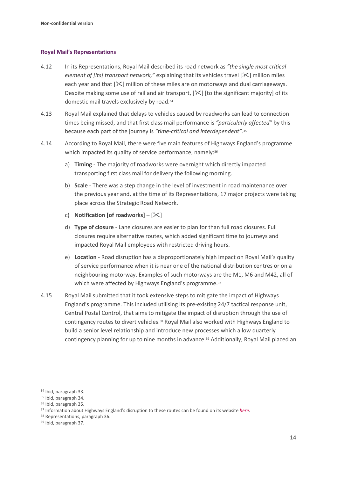#### **Royal Mail's Representations**

- 4.12 In its Representations, Royal Mail described its road network as *"the single most critical element of [its] transport network,"* explaining that its vehicles travel [ $\mathbb{X}$ ] million miles each year and that  $[\&]$  million of these miles are on motorways and dual carriageways. Despite making some use of rail and air transport,  $[\&$ ] [to the significant majority] of its domestic mail travels exclusively by road.<sup>34</sup>
- 4.13 Royal Mail explained that delays to vehicles caused by roadworks can lead to connection times being missed, and that first class mail performance is *"particularly affected"* by this because each part of the journey is *"time-critical and interdependent"*. 35
- 4.14 According to Royal Mail, there were five main features of Highways England's programme which impacted its quality of service performance, namely: 36
	- a) **Timing** The majority of roadworks were overnight which directly impacted transporting first class mail for delivery the following morning.
	- b) **Scale** There was a step change in the level of investment in road maintenance over the previous year and, at the time of its Representations, 17 major projects were taking place across the Strategic Road Network.
	- c) **Notification [of roadworks]**  $[\times]$
	- d) **Type of closure** Lane closures are easier to plan for than full road closures. Full closures require alternative routes, which added significant time to journeys and impacted Royal Mail employees with restricted driving hours.
	- e) **Location** Road disruption has a disproportionately high impact on Royal Mail's quality of service performance when it is near one of the national distribution centres or on a neighbouring motorway. Examples of such motorways are the M1, M6 and M42, all of which were affected by Highways England's programme.<sup>37</sup>
- 4.15 Royal Mail submitted that it took extensive steps to mitigate the impact of Highways England's programme. This included utilising its pre-existing 24/7 tactical response unit, Central Postal Control, that aims to mitigate the impact of disruption through the use of contingency routes to divert vehicles. <sup>38</sup> Royal Mail also worked with Highways England to build a senior level relationship and introduce new processes which allow quarterly contingency planning for up to nine months in advance. <sup>39</sup> Additionally, Royal Mail placed an

<sup>34</sup> Ibid, paragraph 33.

<sup>35</sup> Ibid, paragraph 34.

<sup>36</sup> Ibid, paragraph 35.

<sup>37</sup> Information about Highways England's disruption to these routes can be found on its website *[here](https://highwaysengland.co.uk/roadworks-search/?days=All®ion=all-regions&county=all-counties&location=&radius=10&roadlist=M1,M6,M42&severity=All)*.

<sup>38</sup> Representations, paragraph 36.

<sup>39</sup> Ibid, paragraph 37.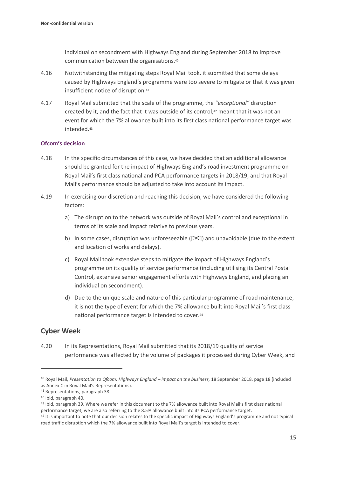individual on secondment with Highways England during September 2018 to improve communication between the organisations.<sup>40</sup>

- 4.16 Notwithstanding the mitigating steps Royal Mail took, it submitted that some delays caused by Highways England's programme were too severe to mitigate or that it was given insufficient notice of disruption.<sup>41</sup>
- 4.17 Royal Mail submitted that the scale of the programme, the *"exceptional"* disruption created by it, and the fact that it was outside of its control,<sup>42</sup> meant that it was not an event for which the 7% allowance built into its first class national performance target was intended. 43

#### **Ofcom's decision**

- 4.18 In the specific circumstances of this case, we have decided that an additional allowance should be granted for the impact of Highways England's road investment programme on Royal Mail's first class national and PCA performance targets in 2018/19, and that Royal Mail's performance should be adjusted to take into account its impact.
- 4.19 In exercising our discretion and reaching this decision, we have considered the following factors:
	- a) The disruption to the network was outside of Royal Mail's control and exceptional in terms of its scale and impact relative to previous years.
	- b) In some cases, disruption was unforeseeable ( $[\&\&\]$ ) and unavoidable (due to the extent and location of works and delays).
	- c) Royal Mail took extensive steps to mitigate the impact of Highways England's programme on its quality of service performance (including utilising its Central Postal Control, extensive senior engagement efforts with Highways England, and placing an individual on secondment).
	- d) Due to the unique scale and nature of this particular programme of road maintenance, it is not the type of event for which the 7% allowance built into Royal Mail's first class national performance target is intended to cover.<sup>44</sup>

## **Cyber Week**

4.20 In its Representations, Royal Mail submitted that its 2018/19 quality of service performance was affected by the volume of packages it processed during Cyber Week, and

<sup>40</sup> Royal Mail, *Presentation to Ofcom: Highways England – impact on the business,* 18 September 2018, page 18 (included as Annex C in Royal Mail's Representations).

<sup>41</sup> Representations, paragraph 38.

<sup>42</sup> Ibid, paragraph 40.

<sup>43</sup> Ibid, paragraph 39. Where we refer in this document to the 7% allowance built into Royal Mail's first class national performance target, we are also referring to the 8.5% allowance built into its PCA performance target.

<sup>44</sup> It is important to note that our decision relates to the specific impact of Highways England's programme and not typical road traffic disruption which the 7% allowance built into Royal Mail's target is intended to cover.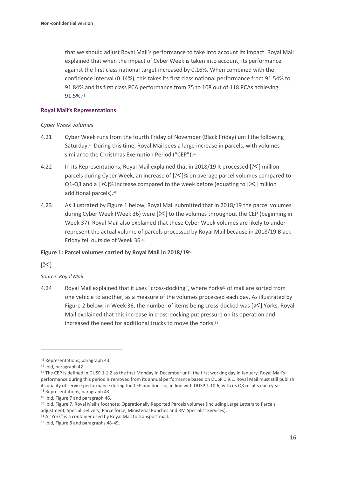that we should adjust Royal Mail's performance to take into account its impact. Royal Mail explained that when the impact of Cyber Week is taken into account, its performance against the first class national target increased by 0.16%. When combined with the confidence interval (0.14%), this takes its first class national performance from 91.54% to 91.84% and its first class PCA performance from 75 to 108 out of 118 PCAs achieving 91.5%. 45

#### **Royal Mail's Representations**

#### *Cyber Week volumes*

- 4.21 Cyber Week runs from the fourth Friday of November (Black Friday) until the following Saturday.<sup>46</sup> During this time, Royal Mail sees a large increase in parcels, with volumes similar to the Christmas Exemption Period ("CEP").<sup>47</sup>
- 4.22 In its Representations, Royal Mail explained that in 2018/19 it processed  $[\mathcal{K}]$  million parcels during Cyber Week, an increase of  $[\& \& \]$ % on average parcel volumes compared to Q1-Q3 and a  $[\times]$ % increase compared to the week before (equating to  $[\times]$  million additional parcels).<sup>48</sup>
- 4.23 As illustrated by Figure 1 below, Royal Mail submitted that in 2018/19 the parcel volumes during Cyber Week (Week 36) were [ $\mathbb{X}$ ] to the volumes throughout the CEP (beginning in Week 37). Royal Mail also explained that these Cyber Week volumes are likely to underrepresent the actual volume of parcels processed by Royal Mail because in 2018/19 Black Friday fell outside of Week 36. 49

#### **Figure 1: Parcel volumes carried by Royal Mail in 2018/19<sup>50</sup>**

 $[\times]$ 

#### *Source: Royal Mail*

4.24 Royal Mail explained that it uses "cross-docking", where Yorks<sup>51</sup> of mail are sorted from one vehicle to another, as a measure of the volumes processed each day. As illustrated by Figure 2 below, in Week 36, the number of items being cross-docked was  $[\times]$  Yorks. Royal Mail explained that this increase in cross-docking put pressure on its operation and increased the need for additional trucks to move the Yorks.<sup>52</sup>

<sup>45</sup> Representations, paragraph 43.

<sup>46</sup> Ibid, paragraph 42.

<sup>&</sup>lt;sup>47</sup> The CEP is defined in DUSP 1.1.2 as the first Monday in December until the first working day in January. Royal Mail's performance during this period is removed from its annual performance based on DUSP 1.9.1. Royal Mail must still publish its quality of service performance during the CEP and does so, in line with DUSP 1.10.6, with its Q3 results each year. <sup>48</sup> Representations, paragraph 43.

<sup>49</sup> Ibid, Figure 7 and paragraph 46.

<sup>50</sup> Ibid, Figure 7. Royal Mail's footnote: Operationally Reported Parcels volumes (including Large Letters to Parcels adjustment, Special Delivery, Parcelforce, Ministerial Pouches and RM Specialist Services).

<sup>51</sup> A "York" is a container used by Royal Mail to transport mail.

<sup>52</sup> Ibid, Figure 8 and paragraphs 48-49.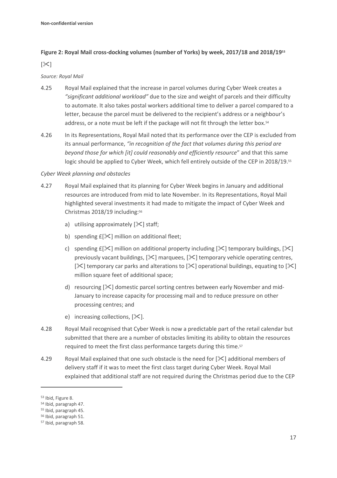#### **Figure 2: Royal Mail cross-docking volumes (number of Yorks) by week, 2017/18 and 2018/19<sup>53</sup>**

#### $[\mathbb{X}]$

#### *Source: Royal Mail*

- 4.25 Royal Mail explained that the increase in parcel volumes during Cyber Week creates a *"significant additional workload"* due to the size and weight of parcels and their difficulty to automate. It also takes postal workers additional time to deliver a parcel compared to a letter, because the parcel must be delivered to the recipient's address or a neighbour's address, or a note must be left if the package will not fit through the letter box.<sup>54</sup>
- 4.26 In its Representations, Royal Mail noted that its performance over the CEP is excluded from its annual performance, *"in recognition of the fact that volumes during this period are beyond those for which [it] could reasonably and efficiently resource*" and that this same logic should be applied to Cyber Week, which fell entirely outside of the CEP in 2018/19.<sup>55</sup>

#### *Cyber Week planning and obstacles*

- 4.27 Royal Mail explained that its planning for Cyber Week begins in January and additional resources are introduced from mid to late November. In its Representations, Royal Mail highlighted several investments it had made to mitigate the impact of Cyber Week and Christmas 2018/19 including: 56
	- a) utilising approximately  $[35]$  staff;
	- b) spending  $E[\frac{1}{2}]$  million on additional fleet;
	- c) spending  $E[\mathcal{K}]$  million on additional property including  $[\mathcal{K}]$  temporary buildings,  $[\mathcal{K}]$ previously vacant buildings,  $[\mathcal{K}]$  marquees,  $[\mathcal{K}]$  temporary vehicle operating centres, [ $\le$ ] temporary car parks and alterations to [ $\le$ ] operational buildings, equating to [ $\le$ ] million square feet of additional space;
	- d) resourcing  $[\&]$  domestic parcel sorting centres between early November and mid-January to increase capacity for processing mail and to reduce pressure on other processing centres; and
	- e) increasing collections,  $[\times]$ .
- 4.28 Royal Mail recognised that Cyber Week is now a predictable part of the retail calendar but submitted that there are a number of obstacles limiting its ability to obtain the resources required to meet the first class performance targets during this time. 57
- 4.29 Royal Mail explained that one such obstacle is the need for  $[\<]$  additional members of delivery staff if it was to meet the first class target during Cyber Week. Royal Mail explained that additional staff are not required during the Christmas period due to the CEP

<sup>53</sup> Ibid, Figure 8.

<sup>54</sup> Ibid, paragraph 47.

<sup>55</sup> Ibid, paragraph 45.

<sup>56</sup> Ibid, paragraph 51.

<sup>57</sup> Ibid, paragraph 58.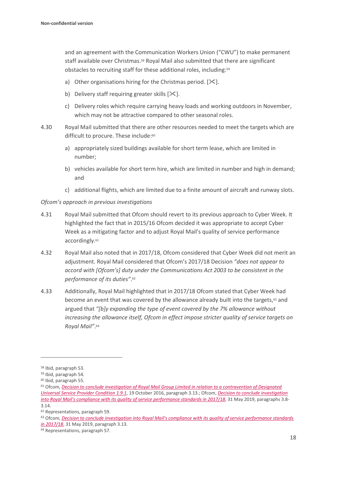and an agreement with the Communication Workers Union ("CWU") to make permanent staff available over Christmas.<sup>58</sup> Royal Mail also submitted that there are significant obstacles to recruiting staff for these additional roles, including:<sup>59</sup>

- a) Other organisations hiring for the Christmas period.  $[\mathcal{K}]$ .
- b) Delivery staff requiring greater skills  $[\mathcal{K}].$
- c) Delivery roles which require carrying heavy loads and working outdoors in November, which may not be attractive compared to other seasonal roles.
- 4.30 Royal Mail submitted that there are other resources needed to meet the targets which are difficult to procure. These include: 60
	- a) appropriately sized buildings available for short term lease, which are limited in number;
	- b) vehicles available for short term hire, which are limited in number and high in demand; and
	- c) additional flights, which are limited due to a finite amount of aircraft and runway slots.

*Ofcom's approach in previous investigations*

- 4.31 Royal Mail submitted that Ofcom should revert to its previous approach to Cyber Week. It highlighted the fact that in 2015/16 Ofcom decided it was appropriate to accept Cyber Week as a mitigating factor and to adjust Royal Mail's quality of service performance accordingly. 61
- 4.32 Royal Mail also noted that in 2017/18, Ofcom considered that Cyber Week did not merit an adjustment. Royal Mail considered that Ofcom's 2017/18 Decision *"does not appear to accord with [Ofcom's] duty under the Communications Act 2003 to be consistent in the performance of its duties"*. 62
- 4.33 Additionally, Royal Mail highlighted that in 2017/18 Ofcom stated that Cyber Week had become an event that was covered by the allowance already built into the targets, <sup>63</sup> and argued that *"[b]y expanding the type of event covered by the 7% allowance without increasing the allowance itself, Ofcom in effect impose stricter quality of service targets on Royal Mail"*. 64

<sup>58</sup> Ibid, paragraph 53.

<sup>59</sup> Ibid, paragraph 54.

<sup>60</sup> Ibid, paragraph 55.

<sup>61</sup> Ofcom, *[Decision to conclude investigation of Royal Mail Group Limited in relation to a contravention of Designated](https://www.ofcom.org.uk/__data/assets/pdf_file/0028/92746/161020-non-confidential-decision-v3.pdf)  [Universal Service Provider Condition 1.9.1](https://www.ofcom.org.uk/__data/assets/pdf_file/0028/92746/161020-non-confidential-decision-v3.pdf)*, 19 October 2016, paragraph 3.13.; Ofcom, *[Decision to conclude investigation](https://www.ofcom.org.uk/__data/assets/pdf_file/0015/152241/decision-non-confidential-royal-mail-quality-of-service-17-18.pdf)  into Royal Mail's compliance [with its quality of service performance standards in 2017/18](https://www.ofcom.org.uk/__data/assets/pdf_file/0015/152241/decision-non-confidential-royal-mail-quality-of-service-17-18.pdf)*, 31 May 2019, paragraphs 3.8- 3.14.

<sup>62</sup> Representations, paragraph 59.

<sup>63</sup> Ofcom, *[Decision to conclude investigation into Royal Mail's compliance with its quality of service performance standards](https://www.ofcom.org.uk/__data/assets/pdf_file/0015/152241/decision-non-confidential-royal-mail-quality-of-service-17-18.pdf)  [in 2017/18](https://www.ofcom.org.uk/__data/assets/pdf_file/0015/152241/decision-non-confidential-royal-mail-quality-of-service-17-18.pdf)*, 31 May 2019, paragraph 3.13.

<sup>64</sup> Representations, paragraph 57.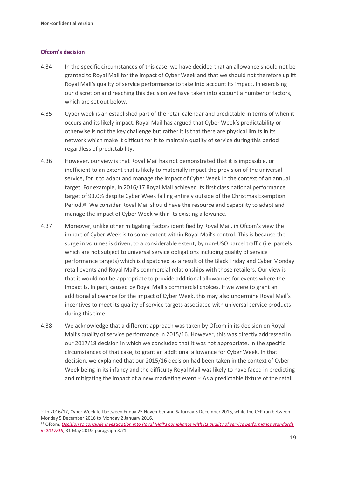#### **Ofcom's decision**

- 4.34 In the specific circumstances of this case, we have decided that an allowance should not be granted to Royal Mail for the impact of Cyber Week and that we should not therefore uplift Royal Mail's quality of service performance to take into account its impact. In exercising our discretion and reaching this decision we have taken into account a number of factors, which are set out below.
- 4.35 Cyber week is an established part of the retail calendar and predictable in terms of when it occurs and its likely impact. Royal Mail has argued that Cyber Week's predictability or otherwise is not the key challenge but rather it is that there are physical limits in its network which make it difficult for it to maintain quality of service during this period regardless of predictability.
- 4.36 However, our view is that Royal Mail has not demonstrated that it is impossible, or inefficient to an extent that is likely to materially impact the provision of the universal service, for it to adapt and manage the impact of Cyber Week in the context of an annual target. For example, in 2016/17 Royal Mail achieved its first class national performance target of 93.0% despite Cyber Week falling entirely outside of the Christmas Exemption Period.<sup>65</sup> We consider Royal Mail should have the resource and capability to adapt and manage the impact of Cyber Week within its existing allowance.
- 4.37 Moreover, unlike other mitigating factors identified by Royal Mail, in Ofcom's view the impact of Cyber Week is to some extent within Royal Mail's control. This is because the surge in volumes is driven, to a considerable extent, by non-USO parcel traffic (i.e. parcels which are not subject to universal service obligations including quality of service performance targets) which is dispatched as a result of the Black Friday and Cyber Monday retail events and Royal Mail's commercial relationships with those retailers. Our view is that it would not be appropriate to provide additional allowances for events where the impact is, in part, caused by Royal Mail's commercial choices. If we were to grant an additional allowance for the impact of Cyber Week, this may also undermine Royal Mail's incentives to meet its quality of service targets associated with universal service products during this time.
- 4.38 We acknowledge that a different approach was taken by Ofcom in its decision on Royal Mail's quality of service performance in 2015/16. However, this was directly addressed in our 2017/18 decision in which we concluded that it was not appropriate, in the specific circumstances of that case, to grant an additional allowance for Cyber Week. In that decision, we explained that our 2015/16 decision had been taken in the context of Cyber Week being in its infancy and the difficulty Royal Mail was likely to have faced in predicting and mitigating the impact of a new marketing event. <sup>66</sup> As a predictable fixture of the retail

<sup>65</sup> In 2016/17, Cyber Week fell between Friday 25 November and Saturday 3 December 2016, while the CEP ran between Monday 5 December 2016 to Monday 2 January 2016.

<sup>66</sup> Ofcom, *[Decision to conclude investigation into Royal Mail's compliance with its quality of service performance standards](https://www.ofcom.org.uk/__data/assets/pdf_file/0015/152241/decision-non-confidential-royal-mail-quality-of-service-17-18.pdf)  in [2017/18](https://www.ofcom.org.uk/__data/assets/pdf_file/0015/152241/decision-non-confidential-royal-mail-quality-of-service-17-18.pdf)*, 31 May 2019, paragraph 3.71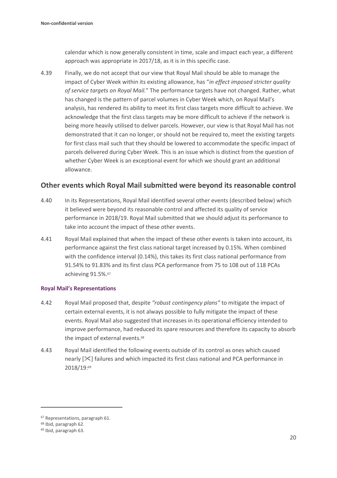calendar which is now generally consistent in time, scale and impact each year, a different approach was appropriate in 2017/18, as it is in this specific case.

4.39 Finally, we do not accept that our view that Royal Mail should be able to manage the impact of Cyber Week within its existing allowance, has "*in effect imposed stricter quality of service targets on Royal Mail.*" The performance targets have not changed. Rather, what has changed is the pattern of parcel volumes in Cyber Week which, on Royal Mail's analysis, has rendered its ability to meet its first class targets more difficult to achieve. We acknowledge that the first class targets may be more difficult to achieve if the network is being more heavily utilised to deliver parcels. However, our view is that Royal Mail has not demonstrated that it can no longer, or should not be required to, meet the existing targets for first class mail such that they should be lowered to accommodate the specific impact of parcels delivered during Cyber Week. This is an issue which is distinct from the question of whether Cyber Week is an exceptional event for which we should grant an additional allowance.

### **Other events which Royal Mail submitted were beyond its reasonable control**

- 4.40 In its Representations, Royal Mail identified several other events (described below) which it believed were beyond its reasonable control and affected its quality of service performance in 2018/19. Royal Mail submitted that we should adjust its performance to take into account the impact of these other events.
- 4.41 Royal Mail explained that when the impact of these other events is taken into account, its performance against the first class national target increased by 0.15%. When combined with the confidence interval (0.14%), this takes its first class national performance from 91.54% to 91.83% and its first class PCA performance from 75 to 108 out of 118 PCAs achieving 91.5%. 67

#### **Royal Mail's Representations**

- 4.42 Royal Mail proposed that, despite *"robust contingency plans"* to mitigate the impact of certain external events, it is not always possible to fully mitigate the impact of these events. Royal Mail also suggested that increases in its operational efficiency intended to improve performance, had reduced its spare resources and therefore its capacity to absorb the impact of external events.<sup>68</sup>
- 4.43 Royal Mail identified the following events outside of its control as ones which caused nearly  $[\&]$  failures and which impacted its first class national and PCA performance in 2018/19: 69

<sup>67</sup> Representations, paragraph 61.

<sup>68</sup> Ibid, paragraph 62.

<sup>69</sup> Ibid, paragraph 63.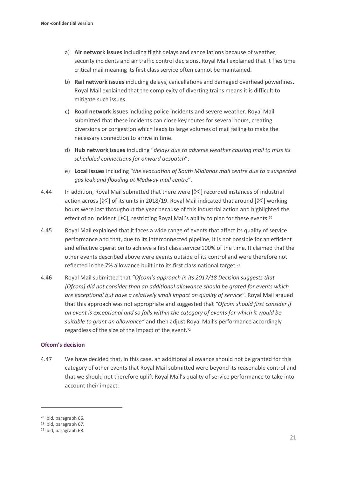- a) **Air network issues** including flight delays and cancellations because of weather, security incidents and air traffic control decisions. Royal Mail explained that it flies time critical mail meaning its first class service often cannot be maintained.
- b) **Rail network issues** including delays, cancellations and damaged overhead powerlines. Royal Mail explained that the complexity of diverting trains means it is difficult to mitigate such issues.
- c) **Road network issues** including police incidents and severe weather. Royal Mail submitted that these incidents can close key routes for several hours, creating diversions or congestion which leads to large volumes of mail failing to make the necessary connection to arrive in time.
- d) **Hub network issues** including "*delays due to adverse weather causing mail to miss its scheduled connections for onward despatch*".
- e) **Local issues** including "*the evacuation of South Midlands mail centre due to a suspected gas leak and flooding at Medway mail centre*".
- 4.44 In addition, Royal Mail submitted that there were  $[\times]$  recorded instances of industrial action across  $[\&]$  of its units in 2018/19. Royal Mail indicated that around  $[\&]$  working hours were lost throughout the year because of this industrial action and highlighted the effect of an incident  $[\mathcal{K}]$ , restricting Royal Mail's ability to plan for these events.<sup>70</sup>
- 4.45 Royal Mail explained that it faces a wide range of events that affect its quality of service performance and that, due to its interconnected pipeline, it is not possible for an efficient and effective operation to achieve a first class service 100% of the time. It claimed that the other events described above were events outside of its control and were therefore not reflected in the 7% allowance built into its first class national target.<sup>71</sup>
- 4.46 Royal Mail submitted that *"Ofcom's approach in its 2017/18 Decision suggests that [Ofcom] did not consider than an additional allowance should be grated for events which are exceptional but have a relatively small impact on quality of service".* Royal Mail argued that this approach was not appropriate and suggested that *"Ofcom should first consider if an event is exceptional and so falls within the category of events for which it would be suitable to grant an allowance"* and then adjust Royal Mail's performance accordingly regardless of the size of the impact of the event.<sup>72</sup>

#### **Ofcom's decision**

4.47 We have decided that, in this case, an additional allowance should not be granted for this category of other events that Royal Mail submitted were beyond its reasonable control and that we should not therefore uplift Royal Mail's quality of service performance to take into account their impact.

<sup>70</sup> Ibid, paragraph 66.

<sup>71</sup> Ibid, paragraph 67.

<sup>72</sup> Ibid, paragraph 68.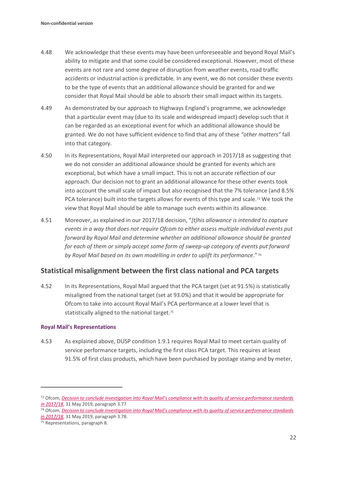- 4.48 We acknowledge that these events may have been unforeseeable and beyond Royal Mail's ability to mitigate and that some could be considered exceptional. However, most of these events are not rare and some degree of disruption from weather events, road traffic accidents or industrial action is predictable. In any event, we do not consider these events to be the type of events that an additional allowance should be granted for and we consider that Royal Mail should be able to absorb their small impact within its targets.
- 4.49 As demonstrated by our approach to Highways England's programme, we acknowledge that a particular event may (due to its scale and widespread impact) develop such that it can be regarded as an exceptional event for which an additional allowance should be granted. We do not have sufficient evidence to find that any of these *"other matters"* fall into that category.
- 4.50 In its Representations, Royal Mail interpreted our approach in 2017/18 as suggesting that we do not consider an additional allowance should be granted for events which are exceptional, but which have a small impact. This is not an accurate reflection of our approach. Our decision not to grant an additional allowance for these other events took into account the small scale of impact but also recognised that the 7% tolerance (and 8.5% PCA tolerance) built into the targets allows for events of this type and scale.<sup>73</sup> We took the view that Royal Mail should be able to manage such events within its allowance.
- 4.51 Moreover, as explained in our 2017/18 decision, "*[t]his allowance is intended to capture events in a way that does not require Ofcom to either assess multiple individual events put forward by Royal Mail and determine whether an additional allowance should be granted for each of them or simply accept some form of sweep-up category of events put forward by Royal Mail based on its own modelling in order to uplift its performance*." <sup>74</sup>

## **Statistical misalignment between the first class national and PCA targets**

4.52 In its Representations, Royal Mail argued that the PCA target (set at 91.5%) is statistically misaligned from the national target (set at 93.0%) and that it would be appropriate for Ofcom to take into account Royal Mail's PCA performance at a lower level that is statistically aligned to the national target.<sup>75</sup>

#### **Royal Mail's Representations**

4.53 As explained above, DUSP condition 1.9.1 requires Royal Mail to meet certain quality of service performance targets, including the first class PCA target. This requires at least 91.5% of first class products, which have been purchased by postage stamp and by meter,

<sup>73</sup> Ofcom, *[Decision to conclude investigation into Royal Mail's compliance with its quality of service performance standards](https://www.ofcom.org.uk/__data/assets/pdf_file/0015/152241/decision-non-confidential-royal-mail-quality-of-service-17-18.pdf)  [in 2017/18](https://www.ofcom.org.uk/__data/assets/pdf_file/0015/152241/decision-non-confidential-royal-mail-quality-of-service-17-18.pdf)*, 31 May 2019, paragraph 3.77

<sup>74</sup> Ofcom, *[Decision to conclude investigation into Royal Mail's compliance with its quality of service performance standards](https://www.ofcom.org.uk/__data/assets/pdf_file/0015/152241/decision-non-confidential-royal-mail-quality-of-service-17-18.pdf)  in [2017/18](https://www.ofcom.org.uk/__data/assets/pdf_file/0015/152241/decision-non-confidential-royal-mail-quality-of-service-17-18.pdf)*, 31 May 2019, paragraph 3.78.

<sup>75</sup> Representations, paragraph 8.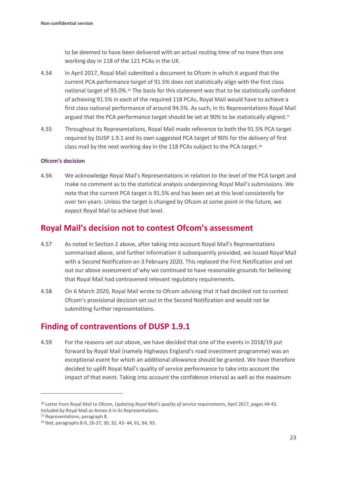to be deemed to have been delivered with an actual routing time of no more than one working day in 118 of the 121 PCAs in the UK.

- 4.54 In April 2017, Royal Mail submitted a document to Ofcom in which it argued that the current PCA performance target of 91.5% does not statistically align with the first class national target of 93.0%.<sup>76</sup> The basis for this statement was that to be statistically confident of achieving 91.5% in each of the required 118 PCAs, Royal Mail would have to achieve a first class national performance of around 94.5%. As such, in its Representations Royal Mail argued that the PCA performance target should be set at 90% to be statistically aligned.<sup>77</sup>
- 4.55 Throughout its Representations, Royal Mail made reference to both the 91.5% PCA target required by DUSP 1.9.1 and its own suggested PCA target of 90% for the delivery of first class mail by the next working day in the 118 PCAs subject to the PCA target. 78

#### **Ofcom's decision**

4.56 We acknowledge Royal Mail's Representations in relation to the level of the PCA target and make no comment as to the statistical analysis underpinning Royal Mail's submissions. We note that the current PCA target is 91.5% and has been set at this level consistently for over ten years. Unless the target is changed by Ofcom at some point in the future, we expect Royal Mail to achieve that level.

## **Royal Mail's decision not to contest Ofcom's assessment**

- 4.57 As noted in Section 2 above, after taking into account Royal Mail's Representations summarised above, and further information it subsequently provided, we issued Royal Mail with a Second Notification on 3 February 2020. This replaced the First Notification and set out our above assessment of why we continued to have reasonable grounds for believing that Royal Mail had contravened relevant regulatory requirements.
- 4.58 On 6 March 2020, Royal Mail wrote to Ofcom advising that it had decided not to contest Ofcom's provisional decision set out in the Second Notification and would not be submitting further representations.

## **Finding of contraventions of DUSP 1.9.1**

4.59 For the reasons set out above, we have decided that one of the events in 2018/19 put forward by Royal Mail (namely Highways England's road investment programme) was an exceptional event for which an additional allowance should be granted. We have therefore decided to uplift Royal Mail's quality of service performance to take into account the impact of that event. Taking into account the confidence interval as well as the maximum

<sup>76</sup> Letter from Royal Mail to Ofcom, *Updating Royal Mail's quality of service requirements*, April 2017, pages 44-45. Included by Royal Mail as Annex A in its Representations.

<sup>77</sup> Representations, paragraph 8.

<sup>78</sup> Ibid, paragraphs 8-9, 26-27, 30, 32, 43- 44, 61, 84, 93.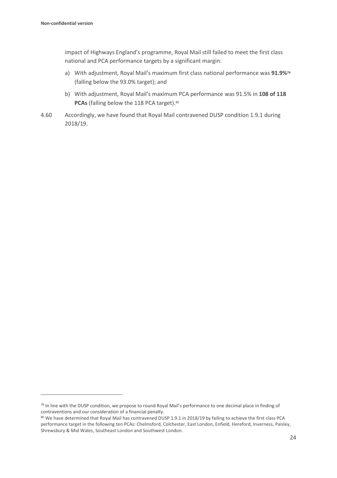impact of Highways England's programme, Royal Mail still failed to meet the first class national and PCA performance targets by a significant margin:

- a) With adjustment, Royal Mail's maximum first class national performance was **91.9%<sup>79</sup>** (falling below the 93.0% target); and
- b) With adjustment, Royal Mail's maximum PCA performance was 91.5% in **108 of 118 PCAs** (falling below the 118 PCA target). 80
- 4.60 Accordingly, we have found that Royal Mail contravened DUSP condition 1.9.1 during 2018/19.

<sup>&</sup>lt;sup>79</sup> In line with the DUSP condition, we propose to round Royal Mail's performance to one decimal place in finding of contraventions and our consideration of a financial penalty.

<sup>80</sup> We have determined that Royal Mail has contravened DUSP 1.9.1 in 2018/19 by failing to achieve the first class PCA performance target in the following ten PCAs: Chelmsford, Colchester, East London, Enfield, Hereford, Inverness, Paisley, Shrewsbury & Mid Wales, Southeast London and Southwest London.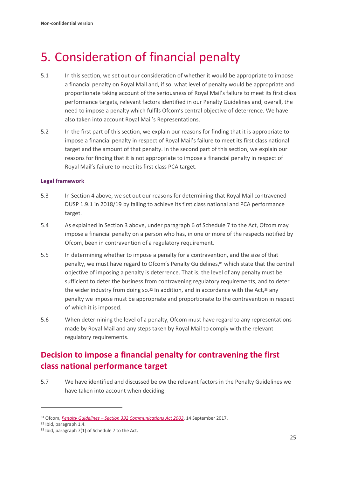# <span id="page-26-0"></span>5. Consideration of financial penalty

- 5.1 In this section, we set out our consideration of whether it would be appropriate to impose a financial penalty on Royal Mail and, if so, what level of penalty would be appropriate and proportionate taking account of the seriousness of Royal Mail's failure to meet its first class performance targets, relevant factors identified in our Penalty Guidelines and, overall, the need to impose a penalty which fulfils Ofcom's central objective of deterrence. We have also taken into account Royal Mail's Representations.
- 5.2 In the first part of this section, we explain our reasons for finding that it is appropriate to impose a financial penalty in respect of Royal Mail's failure to meet its first class national target and the amount of that penalty. In the second part of this section, we explain our reasons for finding that it is not appropriate to impose a financial penalty in respect of Royal Mail's failure to meet its first class PCA target.

#### **Legal framework**

- 5.3 In Section 4 above, we set out our reasons for determining that Royal Mail contravened DUSP 1.9.1 in 2018/19 by failing to achieve its first class national and PCA performance target.
- 5.4 As explained in Section 3 above, under paragraph 6 of Schedule 7 to the Act, Ofcom may impose a financial penalty on a person who has, in one or more of the respects notified by Ofcom, been in contravention of a regulatory requirement.
- 5.5 In determining whether to impose a penalty for a contravention, and the size of that penalty, we must have regard to Ofcom's Penalty Guidelines,<sup>81</sup> which state that the central objective of imposing a penalty is deterrence. That is, the level of any penalty must be sufficient to deter the business from contravening regulatory requirements, and to deter the wider industry from doing  $\mathfrak{so.}^{\otimes 2}$  In addition, and in accordance with the Act, $^{\otimes 3}$  any penalty we impose must be appropriate and proportionate to the contravention in respect of which it is imposed.
- 5.6 When determining the level of a penalty, Ofcom must have regard to any representations made by Royal Mail and any steps taken by Royal Mail to comply with the relevant regulatory requirements.

## **Decision to impose a financial penalty for contravening the first class national performance target**

5.7 We have identified and discussed below the relevant factors in the Penalty Guidelines we have taken into account when deciding:

<sup>81</sup> Ofcom, *Penalty Guidelines – [Section 392 Communications Act 2003](https://www.ofcom.org.uk/__data/assets/pdf_file/0022/106267/Penalty-Guidelines-September-2017.pdf)*, 14 September 2017.

<sup>82</sup> Ibid, paragraph 1.4.

<sup>83</sup> Ibid, paragraph 7(1) of Schedule 7 to the Act.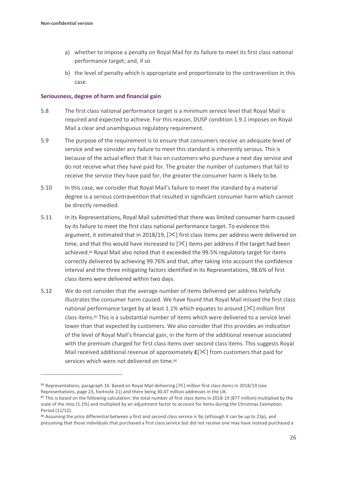- a) whether to impose a penalty on Royal Mail for its failure to meet its first class national performance target; and, if so
- b) the level of penalty which is appropriate and proportionate to the contravention in this case.

#### **Seriousness, degree of harm and financial gain**

- 5.8 The first class national performance target is a minimum service level that Royal Mail is required and expected to achieve. For this reason, DUSP condition 1.9.1 imposes on Royal Mail a clear and unambiguous regulatory requirement.
- 5.9 The purpose of the requirement is to ensure that consumers receive an adequate level of service and we consider any failure to meet this standard is inherently serious. This is because of the actual effect that it has on customers who purchase a next day service and do not receive what they have paid for. The greater the number of customers that fail to receive the service they have paid for, the greater the consumer harm is likely to be.
- 5.10 In this case, we consider that Royal Mail's failure to meet the standard by a material degree is a serious contravention that resulted in significant consumer harm which cannot be directly remedied.
- 5.11 In its Representations, Royal Mail submitted that there was limited consumer harm caused by its failure to meet the first class national performance target. To evidence this argument, it estimated that in 2018/19,  $[\&$  first class items per address were delivered on time, and that this would have increased to  $[\times]$  items per address if the target had been achieved.<sup>84</sup> Royal Mail also noted that it exceeded the 99.5% regulatory target for items correctly delivered by achieving 99.76% and that, after taking into account the confidence interval and the three mitigating factors identified in its Representations, 98.6% of first class items were delivered within two days.
- 5.12 We do not consider that the average number of items delivered per address helpfully illustrates the consumer harm caused. We have found that Royal Mail missed the first class national performance target by at least 1.1% which equates to around  $[\times]$  million first class items.<sup>85</sup> This is a substantial number of items which were delivered to a service level lower than that expected by customers. We also consider that this provides an indication of the level of Royal Mail's financial gain, in the form of the additional revenue associated with the premium charged for first class items over second class items. This suggests Royal Mail received additional revenue of approximately **£**[] from customers that paid for services which were not delivered on time.<sup>86</sup>

<sup>84</sup> Representations, paragraph 16. Based on Royal Mail delivering [ $\mathcal{X}$ ] million first class items in 2018/19 (see Representations, page 23, footnote 21) and there being 30.47 million addresses in the UK.

<sup>85</sup> This is based on the following calculation: the total number of first class items in 2018-19 (877 million) multiplied by the scale of the miss (1.1%) and multiplied by an adjustment factor to account for items during the Christmas Exemption Period (11/12).

<sup>86</sup> Assuming the price differential between a first and second class service is 9p (although it can be up to 23p), and presuming that those individuals that purchased a first class service but did not receive one may have instead purchased a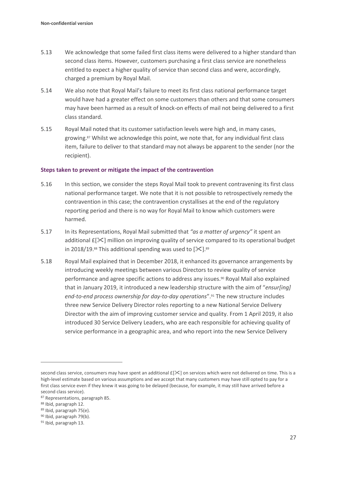- 5.13 We acknowledge that some failed first class items were delivered to a higher standard than second class items. However, customers purchasing a first class service are nonetheless entitled to expect a higher quality of service than second class and were, accordingly, charged a premium by Royal Mail.
- 5.14 We also note that Royal Mail's failure to meet its first class national performance target would have had a greater effect on some customers than others and that some consumers may have been harmed as a result of knock-on effects of mail not being delivered to a first class standard.
- 5.15 Royal Mail noted that its customer satisfaction levels were high and, in many cases, growing.<sup>87</sup> Whilst we acknowledge this point, we note that, for any individual first class item, failure to deliver to that standard may not always be apparent to the sender (nor the recipient).

#### **Steps taken to prevent or mitigate the impact of the contravention**

- 5.16 In this section, we consider the steps Royal Mail took to prevent contravening its first class national performance target. We note that it is not possible to retrospectively remedy the contravention in this case; the contravention crystallises at the end of the regulatory reporting period and there is no way for Royal Mail to know which customers were harmed.
- 5.17 In its Representations, Royal Mail submitted that *"as a matter of urgency"* it spent an additional  $E[\times]$  million on improving quality of service compared to its operational budget in 2018/19.<sup>88</sup> This additional spending was used to  $[\mathcal{K}]$ .<sup>89</sup>
- 5.18 Royal Mail explained that in December 2018, it enhanced its governance arrangements by introducing weekly meetings between various Directors to review quality of service performance and agree specific actions to address any issues.<sup>90</sup> Royal Mail also explained that in January 2019, it introduced a new leadership structure with the aim of "*ensur[ing] end-to-end process ownership for day-to-day operations*".<sup>91</sup> The new structure includes three new Service Delivery Director roles reporting to a new National Service Delivery Director with the aim of improving customer service and quality. From 1 April 2019, it also introduced 30 Service Delivery Leaders, who are each responsible for achieving quality of service performance in a geographic area, and who report into the new Service Delivery

second class service, consumers may have spent an additional  $E[X]$  on services which were not delivered on time. This is a high-level estimate based on various assumptions and we accept that many customers may have still opted to pay for a first class service even if they knew it was going to be delayed (because, for example, it may still have arrived before a second class service).

<sup>87</sup> Representations, paragraph 85.

<sup>88</sup> Ibid, paragraph 12.

<sup>89</sup> Ibid, paragraph 75(e).

<sup>90</sup> Ibid, paragraph 79(b).

<sup>91</sup> Ibid, paragraph 13.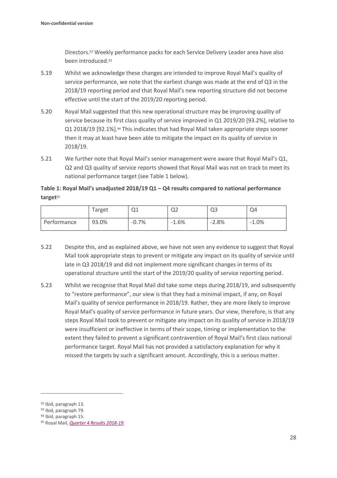Directors. <sup>92</sup> Weekly performance packs for each Service Delivery Leader area have also been introduced. 93

- 5.19 Whilst we acknowledge these changes are intended to improve Royal Mail's quality of service performance, we note that the earliest change was made at the end of Q3 in the 2018/19 reporting period and that Royal Mail's new reporting structure did not become effective until the start of the 2019/20 reporting period.
- 5.20 Royal Mail suggested that this new operational structure may be improving quality of service because its first class quality of service improved in Q1 2019/20 [93.2%], relative to Q1 2018/19 [92.1%].<sup>94</sup> This indicates that had Royal Mail taken appropriate steps sooner then it may at least have been able to mitigate the impact on its quality of service in 2018/19.
- 5.21 We further note that Royal Mail's senior management were aware that Royal Mail's Q1, Q2 and Q3 quality of service reports showed that Royal Mail was not on track to meet its national performance target (see Table 1 below).

**Table 1: Royal Mail's unadjusted 2018/19 Q1 – Q4 results compared to national performance target**<sup>95</sup>

|             | Target | Q1      | Q <sub>2</sub> | Q <sub>3</sub> | Q4       |
|-------------|--------|---------|----------------|----------------|----------|
| Performance | 93.0%  | $-0.7%$ | $-1.6%$        | $-2.8%$        | $-1.0\%$ |

- 5.22 Despite this, and as explained above, we have not seen any evidence to suggest that Royal Mail took appropriate steps to prevent or mitigate any impact on its quality of service until late in Q3 2018/19 and did not implement more significant changes in terms of its operational structure until the start of the 2019/20 quality of service reporting period.
- 5.23 Whilst we recognise that Royal Mail did take some steps during 2018/19, and subsequently to "restore performance", our view is that they had a minimal impact, if any, on Royal Mail's quality of service performance in 2018/19. Rather, they are more likely to improve Royal Mail's quality of service performance in future years. Our view, therefore, is that any steps Royal Mail took to prevent or mitigate any impact on its quality of service in 2018/19 were insufficient or ineffective in terms of their scope, timing or implementation to the extent they failed to prevent a significant contravention of Royal Mail's first class national performance target. Royal Mail has not provided a satisfactory explanation for why it missed the targets by such a significant amount. Accordingly, this is a serious matter.

<sup>92</sup> Ibid, paragraph 13.

<sup>93</sup> Ibid, paragraph 79.

<sup>94</sup> Ibid, paragraph 15.

<sup>95</sup> Royal Mail, *[Quarter 4 Results 2018-19](https://www.royalmailgroup.com/media/10811/quarterly-quality-of-service-report-2018-19-q4-republished-28-june-2019.pdf)*.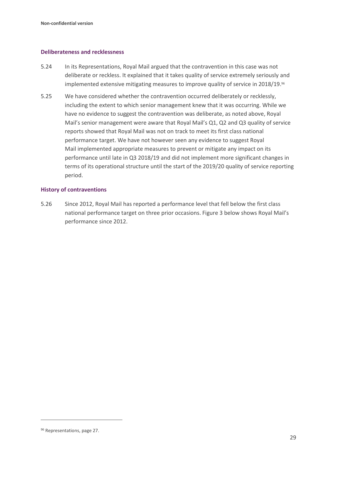#### **Deliberateness and recklessness**

- 5.24 In its Representations, Royal Mail argued that the contravention in this case was not deliberate or reckless. It explained that it takes quality of service extremely seriously and implemented extensive mitigating measures to improve quality of service in 2018/19. 96
- 5.25 We have considered whether the contravention occurred deliberately or recklessly, including the extent to which senior management knew that it was occurring. While we have no evidence to suggest the contravention was deliberate, as noted above, Royal Mail's senior management were aware that Royal Mail's Q1, Q2 and Q3 quality of service reports showed that Royal Mail was not on track to meet its first class national performance target. We have not however seen any evidence to suggest Royal Mail implemented appropriate measures to prevent or mitigate any impact on its performance until late in Q3 2018/19 and did not implement more significant changes in terms of its operational structure until the start of the 2019/20 quality of service reporting period.

#### **History of contraventions**

5.26 Since 2012, Royal Mail has reported a performance level that fell below the first class national performance target on three prior occasions. Figure 3 below shows Royal Mail's performance since 2012.

<sup>96</sup> Representations, page 27.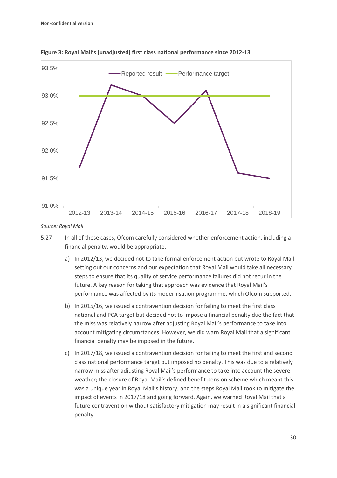

**Figure 3: Royal Mail's (unadjusted) first class national performance since 2012-13**

*Source: Royal Mail*

- 5.27 In all of these cases, Ofcom carefully considered whether enforcement action, including a financial penalty, would be appropriate.
	- a) In 2012/13, we decided not to take formal enforcement action but wrote to Royal Mail setting out our concerns and our expectation that Royal Mail would take all necessary steps to ensure that its quality of service performance failures did not recur in the future. A key reason for taking that approach was evidence that Royal Mail's performance was affected by its modernisation programme, which Ofcom supported.
	- b) In 2015/16, we issued a contravention decision for failing to meet the first class national and PCA target but decided not to impose a financial penalty due the fact that the miss was relatively narrow after adjusting Royal Mail's performance to take into account mitigating circumstances. However, we did warn Royal Mail that a significant financial penalty may be imposed in the future.
	- c) In 2017/18, we issued a contravention decision for failing to meet the first and second class national performance target but imposed no penalty. This was due to a relatively narrow miss after adjusting Royal Mail's performance to take into account the severe weather; the closure of Royal Mail's defined benefit pension scheme which meant this was a unique year in Royal Mail's history; and the steps Royal Mail took to mitigate the impact of events in 2017/18 and going forward. Again, we warned Royal Mail that a future contravention without satisfactory mitigation may result in a significant financial penalty.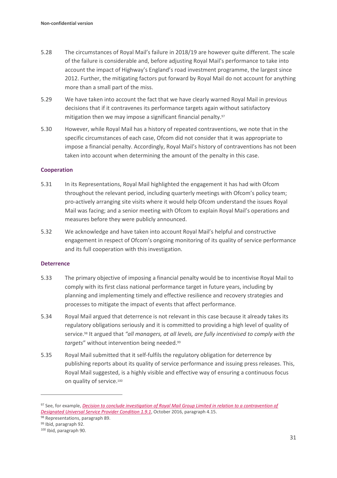- 5.28 The circumstances of Royal Mail's failure in 2018/19 are however quite different. The scale of the failure is considerable and, before adjusting Royal Mail's performance to take into account the impact of Highway's England's road investment programme, the largest since 2012. Further, the mitigating factors put forward by Royal Mail do not account for anything more than a small part of the miss.
- 5.29 We have taken into account the fact that we have clearly warned Royal Mail in previous decisions that if it contravenes its performance targets again without satisfactory mitigation then we may impose a significant financial penalty.<sup>97</sup>
- 5.30 However, while Royal Mail has a history of repeated contraventions, we note that in the specific circumstances of each case, Ofcom did not consider that it was appropriate to impose a financial penalty. Accordingly, Royal Mail's history of contraventions has not been taken into account when determining the amount of the penalty in this case.

#### **Cooperation**

- 5.31 In its Representations, Royal Mail highlighted the engagement it has had with Ofcom throughout the relevant period, including quarterly meetings with Ofcom's policy team; pro-actively arranging site visits where it would help Ofcom understand the issues Royal Mail was facing; and a senior meeting with Ofcom to explain Royal Mail's operations and measures before they were publicly announced.
- 5.32 We acknowledge and have taken into account Royal Mail's helpful and constructive engagement in respect of Ofcom's ongoing monitoring of its quality of service performance and its full cooperation with this investigation.

#### **Deterrence**

- 5.33 The primary objective of imposing a financial penalty would be to incentivise Royal Mail to comply with its first class national performance target in future years, including by planning and implementing timely and effective resilience and recovery strategies and processes to mitigate the impact of events that affect performance.
- 5.34 Royal Mail argued that deterrence is not relevant in this case because it already takes its regulatory obligations seriously and it is committed to providing a high level of quality of service.<sup>98</sup> It argued that *"all managers, at all levels, are fully incentivised to comply with the targets*" without intervention being needed.<sup>99</sup>
- 5.35 Royal Mail submitted that it self-fulfils the regulatory obligation for deterrence by publishing reports about its quality of service performance and issuing press releases. This, Royal Mail suggested, is a highly visible and effective way of ensuring a continuous focus on quality of service.<sup>100</sup>

<sup>97</sup> See, for example, *Decision to conclude investigation of Royal Mail Group Limited in relation to a contravention of [Designated Universal Service Provider Condition 1.9.1](https://www.ofcom.org.uk/__data/assets/pdf_file/0028/92746/161020-non-confidential-decision-v3.pdf)*, October 2016, paragraph 4.15.

<sup>98</sup> Representations, paragraph 89.

<sup>99</sup> Ibid, paragraph 92.

<sup>100</sup> Ibid, paragraph 90.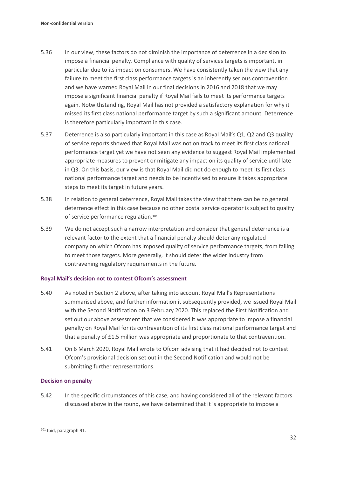- 5.36 In our view, these factors do not diminish the importance of deterrence in a decision to impose a financial penalty. Compliance with quality of services targets is important, in particular due to its impact on consumers. We have consistently taken the view that any failure to meet the first class performance targets is an inherently serious contravention and we have warned Royal Mail in our final decisions in 2016 and 2018 that we may impose a significant financial penalty if Royal Mail fails to meet its performance targets again. Notwithstanding, Royal Mail has not provided a satisfactory explanation for why it missed its first class national performance target by such a significant amount. Deterrence is therefore particularly important in this case.
- 5.37 Deterrence is also particularly important in this case as Royal Mail's Q1, Q2 and Q3 quality of service reports showed that Royal Mail was not on track to meet its first class national performance target yet we have not seen any evidence to suggest Royal Mail implemented appropriate measures to prevent or mitigate any impact on its quality of service until late in Q3. On this basis, our view is that Royal Mail did not do enough to meet its first class national performance target and needs to be incentivised to ensure it takes appropriate steps to meet its target in future years.
- 5.38 In relation to general deterrence, Royal Mail takes the view that there can be no general deterrence effect in this case because no other postal service operator is subject to quality of service performance regulation.<sup>101</sup>
- 5.39 We do not accept such a narrow interpretation and consider that general deterrence is a relevant factor to the extent that a financial penalty should deter any regulated company on which Ofcom has imposed quality of service performance targets, from failing to meet those targets. More generally, it should deter the wider industry from contravening regulatory requirements in the future.

#### **Royal Mail's decision not to contest Ofcom's assessment**

- 5.40 As noted in Section 2 above, after taking into account Royal Mail's Representations summarised above, and further information it subsequently provided, we issued Royal Mail with the Second Notification on 3 February 2020. This replaced the First Notification and set out our above assessment that we considered it was appropriate to impose a financial penalty on Royal Mail for its contravention of its first class national performance target and that a penalty of £1.5 million was appropriate and proportionate to that contravention.
- 5.41 On 6 March 2020, Royal Mail wrote to Ofcom advising that it had decided not to contest Ofcom's provisional decision set out in the Second Notification and would not be submitting further representations.

#### **Decision on penalty**

5.42 In the specific circumstances of this case, and having considered all of the relevant factors discussed above in the round, we have determined that it is appropriate to impose a

<sup>101</sup> Ibid, paragraph 91.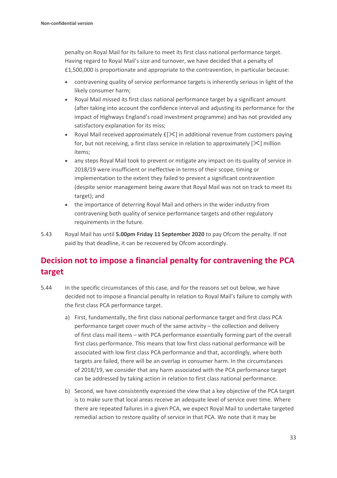penalty on Royal Mail for its failure to meet its first class national performance target. Having regard to Royal Mail's size and turnover, we have decided that a penalty of £1,500,000 is proportionate and appropriate to the contravention, in particular because:

- contravening quality of service performance targets is inherently serious in light of the likely consumer harm;
- Royal Mail missed its first class national performance target by a significant amount (after taking into account the confidence interval and adjusting its performance for the impact of Highways England's road investment programme) and has not provided any satisfactory explanation for its miss;
- Royal Mail received approximately  $f[\mathcal{K}]$  in additional revenue from customers paying for, but not receiving, a first class service in relation to approximately  $[\mathcal{K}]$  million items;
- any steps Royal Mail took to prevent or mitigate any impact on its quality of service in 2018/19 were insufficient or ineffective in terms of their scope, timing or implementation to the extent they failed to prevent a significant contravention (despite senior management being aware that Royal Mail was not on track to meet its target); and
- the importance of deterring Royal Mail and others in the wider industry from contravening both quality of service performance targets and other regulatory requirements in the future.
- 5.43 Royal Mail has until **5.00pm Friday 11 September 2020** to pay Ofcom the penalty. If not paid by that deadline, it can be recovered by Ofcom accordingly.

## **Decision not to impose a financial penalty for contravening the PCA target**

- 5.44 In the specific circumstances of this case, and for the reasons set out below, we have decided not to impose a financial penalty in relation to Royal Mail's failure to comply with the first class PCA performance target.
	- a) First, fundamentally, the first class national performance target and first class PCA performance target cover much of the same activity – the collection and delivery of first class mail items – with PCA performance essentially forming part of the overall first class performance. This means that low first class national performance will be associated with low first class PCA performance and that, accordingly, where both targets are failed, there will be an overlap in consumer harm. In the circumstances of 2018/19, we consider that any harm associated with the PCA performance target can be addressed by taking action in relation to first class national performance.
	- b) Second, we have consistently expressed the view that a key objective of the PCA target is to make sure that local areas receive an adequate level of service over time. Where there are repeated failures in a given PCA, we expect Royal Mail to undertake targeted remedial action to restore quality of service in that PCA. We note that it may be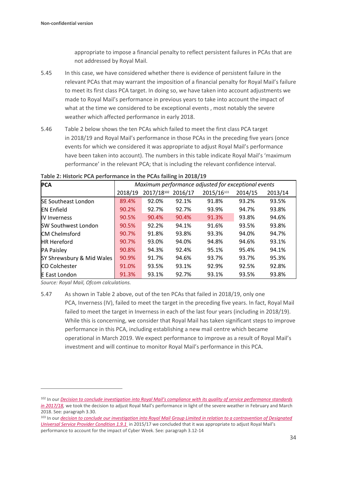appropriate to impose a financial penalty to reflect persistent failures in PCAs that are not addressed by Royal Mail.

- 5.45 In this case, we have considered whether there is evidence of persistent failure in the relevant PCAs that may warrant the imposition of a financial penalty for Royal Mail's failure to meet its first class PCA target. In doing so, we have taken into account adjustments we made to Royal Mail's performance in previous years to take into account the impact of what at the time we considered to be exceptional events , most notably the severe weather which affected performance in early 2018.
- 5.46 Table 2 below shows the ten PCAs which failed to meet the first class PCA target in 2018/19 and Royal Mail's performance in those PCAs in the preceding five years (once events for which we considered it was appropriate to adjust Royal Mail's performance have been taken into account). The numbers in this table indicate Royal Mail's 'maximum performance' in the relevant PCA; that is including the relevant confidence interval.

| <b>PCA</b>                 | Maximum performance adjusted for exceptional events |            |         |            |         |         |  |
|----------------------------|-----------------------------------------------------|------------|---------|------------|---------|---------|--|
|                            | 2018/19                                             | 2017/18102 | 2016/17 | 2015/16103 | 2014/15 | 2013/14 |  |
| <b>SE Southeast London</b> | 89.4%                                               | 92.0%      | 92.1%   | 91.8%      | 93.2%   | 93.5%   |  |
| <b>IEN Enfield</b>         | 90.2%                                               | 92.7%      | 92.7%   | 93.9%      | 94.7%   | 93.8%   |  |
| <b>IV Inverness</b>        | 90.5%                                               | 90.4%      | 90.4%   | 91.3%      | 93.8%   | 94.6%   |  |
| <b>SW Southwest London</b> | 90.5%                                               | 92.2%      | 94.1%   | 91.6%      | 93.5%   | 93.8%   |  |
| <b>CM Chelmsford</b>       | 90.7%                                               | 91.8%      | 93.8%   | 93.3%      | 94.0%   | 94.7%   |  |
| <b>HR Hereford</b>         | 90.7%                                               | 93.0%      | 94.0%   | 94.8%      | 94.6%   | 93.1%   |  |
| <b>PA Paisley</b>          | 90.8%                                               | 94.3%      | 92.4%   | 95.1%      | 95.4%   | 94.1%   |  |
| SY Shrewsbury & Mid Wales  | 90.9%                                               | 91.7%      | 94.6%   | 93.7%      | 93.7%   | 95.3%   |  |
| <b>CO Colchester</b>       | 91.0%                                               | 93.5%      | 93.1%   | 92.9%      | 92.5%   | 92.8%   |  |
| <b>E</b> East London       | 91.3%                                               | 93.1%      | 92.7%   | 93.1%      | 93.5%   | 93.8%   |  |

**Table 2: Historic PCA performance in the PCAs failing in 2018/19**

*Source: Royal Mail, Ofcom calculations.*

<sup>5.47</sup> As shown in Table 2 above, out of the ten PCAs that failed in 2018/19, only one PCA, Inverness (IV), failed to meet the target in the preceding five years. In fact, Royal Mail failed to meet the target in Inverness in each of the last four years (including in 2018/19). While this is concerning, we consider that Royal Mail has taken significant steps to improve performance in this PCA, including establishing a new mail centre which became operational in March 2019. We expect performance to improve as a result of Royal Mail's investment and will continue to monitor Royal Mail's performance in this PCA.

<sup>102</sup> In our *Decision to conclude investigation into Royal Mail's compliance [with its quality of service performance standards](https://www.ofcom.org.uk/__data/assets/pdf_file/0015/152241/decision-non-confidential-royal-mail-quality-of-service-17-18.pdf) in [2017/18,](https://www.ofcom.org.uk/__data/assets/pdf_file/0015/152241/decision-non-confidential-royal-mail-quality-of-service-17-18.pdf)* we took the decision to adjust Royal Mail's performance in light of the severe weather in February and March 2018. See: paragraph 3.30.

<sup>103</sup> In our *decision to conclude our investigation into Royal Mail [Group Limited in relation to a contravention of Designated](https://www.ofcom.org.uk/__data/assets/pdf_file/0028/92746/161020-non-confidential-decision-v3.pdf)  [Universal Service Provider Condition 1.9.1](https://www.ofcom.org.uk/__data/assets/pdf_file/0028/92746/161020-non-confidential-decision-v3.pdf)* in 2015/17 we concluded that it was appropriate to adjust Royal Mail's performance to account for the impact of Cyber Week. See: paragraph 3.12-14